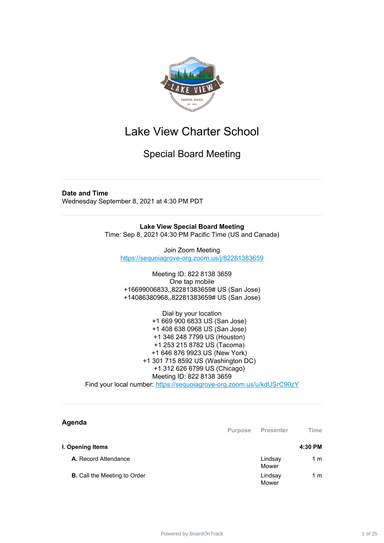

Special Board Meeting

#### **Date and Time**

Wednesday September 8, 2021 at 4:30 PM PDT

**Lake View Special Board Meeting** Time: Sep 8, 2021 04:30 PM Pacific Time (US and Canada)

Join Zoom Meeting <https://sequoiagrove-org.zoom.us/j/82281383659>

Meeting ID: 822 8138 3659 One tap mobile +16699006833,,82281383659# US (San Jose) +14086380968,,82281383659# US (San Jose)

Dial by your location +1 669 900 6833 US (San Jose) +1 408 638 0968 US (San Jose) +1 346 248 7799 US (Houston) +1 253 215 8782 US (Tacoma) +1 646 876 9923 US (New York) +1 301 715 8592 US (Washington DC) +1 312 626 6799 US (Chicago) Meeting ID: 822 8138 3659

Find your local number: <https://sequoiagrove-org.zoom.us/u/kdUSrC90zY>

#### **Agenda**

**Purpose Presenter Time I. Opening Items 4:30 PM A.** Record Attendance Lindsay Mower 1 m **B.** Call the Meeting to Order Lindsay Mower 1 m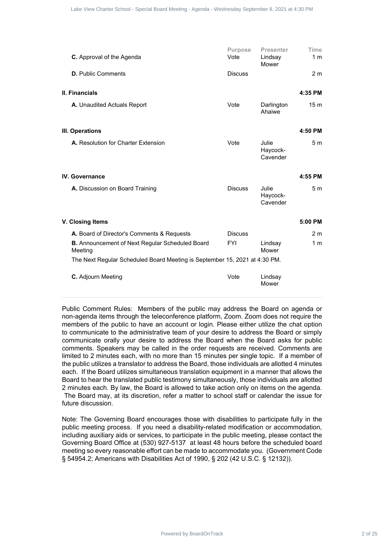|                                                                                                                                                                                                                                                                                                                                                                                                                                                                                                                                                                                                                                                                                                                                                                                                                                                                                                                                                                                                                                                                                                                                                        | Purpose        | <b>Presenter</b>              | Time            |
|--------------------------------------------------------------------------------------------------------------------------------------------------------------------------------------------------------------------------------------------------------------------------------------------------------------------------------------------------------------------------------------------------------------------------------------------------------------------------------------------------------------------------------------------------------------------------------------------------------------------------------------------------------------------------------------------------------------------------------------------------------------------------------------------------------------------------------------------------------------------------------------------------------------------------------------------------------------------------------------------------------------------------------------------------------------------------------------------------------------------------------------------------------|----------------|-------------------------------|-----------------|
| C. Approval of the Agenda                                                                                                                                                                                                                                                                                                                                                                                                                                                                                                                                                                                                                                                                                                                                                                                                                                                                                                                                                                                                                                                                                                                              | Vote           | Lindsay<br>Mower              | 1 m             |
| <b>D.</b> Public Comments                                                                                                                                                                                                                                                                                                                                                                                                                                                                                                                                                                                                                                                                                                                                                                                                                                                                                                                                                                                                                                                                                                                              | <b>Discuss</b> |                               | 2 <sub>m</sub>  |
| II. Financials                                                                                                                                                                                                                                                                                                                                                                                                                                                                                                                                                                                                                                                                                                                                                                                                                                                                                                                                                                                                                                                                                                                                         |                |                               | 4:35 PM         |
| A. Unaudited Actuals Report                                                                                                                                                                                                                                                                                                                                                                                                                                                                                                                                                                                                                                                                                                                                                                                                                                                                                                                                                                                                                                                                                                                            | Vote           | Darlington<br>Ahaiwe          | 15 <sub>m</sub> |
| III. Operations                                                                                                                                                                                                                                                                                                                                                                                                                                                                                                                                                                                                                                                                                                                                                                                                                                                                                                                                                                                                                                                                                                                                        |                |                               | 4:50 PM         |
| A. Resolution for Charter Extension                                                                                                                                                                                                                                                                                                                                                                                                                                                                                                                                                                                                                                                                                                                                                                                                                                                                                                                                                                                                                                                                                                                    | Vote           | Julie<br>Haycock-<br>Cavender | 5 <sub>m</sub>  |
| <b>IV.</b> Governance                                                                                                                                                                                                                                                                                                                                                                                                                                                                                                                                                                                                                                                                                                                                                                                                                                                                                                                                                                                                                                                                                                                                  |                |                               | 4:55 PM         |
| A. Discussion on Board Training                                                                                                                                                                                                                                                                                                                                                                                                                                                                                                                                                                                                                                                                                                                                                                                                                                                                                                                                                                                                                                                                                                                        | <b>Discuss</b> | Julie<br>Haycock-<br>Cavender | 5 <sub>m</sub>  |
| V. Closing Items                                                                                                                                                                                                                                                                                                                                                                                                                                                                                                                                                                                                                                                                                                                                                                                                                                                                                                                                                                                                                                                                                                                                       |                |                               | 5:00 PM         |
| A. Board of Director's Comments & Requests                                                                                                                                                                                                                                                                                                                                                                                                                                                                                                                                                                                                                                                                                                                                                                                                                                                                                                                                                                                                                                                                                                             | <b>Discuss</b> |                               | 2 <sub>m</sub>  |
| <b>B.</b> Announcement of Next Regular Scheduled Board<br>Meeting                                                                                                                                                                                                                                                                                                                                                                                                                                                                                                                                                                                                                                                                                                                                                                                                                                                                                                                                                                                                                                                                                      | <b>FYI</b>     | Lindsay<br>Mower              | 1 <sub>m</sub>  |
| The Next Regular Scheduled Board Meeting is September 15, 2021 at 4:30 PM.                                                                                                                                                                                                                                                                                                                                                                                                                                                                                                                                                                                                                                                                                                                                                                                                                                                                                                                                                                                                                                                                             |                |                               |                 |
| C. Adjourn Meeting                                                                                                                                                                                                                                                                                                                                                                                                                                                                                                                                                                                                                                                                                                                                                                                                                                                                                                                                                                                                                                                                                                                                     | Vote           | Lindsay<br>Mower              |                 |
|                                                                                                                                                                                                                                                                                                                                                                                                                                                                                                                                                                                                                                                                                                                                                                                                                                                                                                                                                                                                                                                                                                                                                        |                |                               |                 |
| Public Comment Rules: Members of the public may address the Board on agenda or<br>non-agenda items through the teleconference platform, Zoom. Zoom does not require the<br>members of the public to have an account or login. Please either utilize the chat option<br>to communicate to the administrative team of your desire to address the Board or simply<br>communicate orally your desire to address the Board when the Board asks for public<br>comments. Speakers may be called in the order requests are received. Comments are<br>limited to 2 minutes each, with no more than 15 minutes per single topic. If a member of<br>the public utilizes a translator to address the Board, those individuals are allotted 4 minutes<br>each. If the Board utilizes simultaneous translation equipment in a manner that allows the<br>Board to hear the translated public testimony simultaneously, those individuals are allotted<br>2 minutes each. By law, the Board is allowed to take action only on items on the agenda.<br>The Board may, at its discretion, refer a matter to school staff or calendar the issue for<br>future discussion. |                |                               |                 |
| Note: The Governing Board encourages those with disabilities to participate fully in the<br>public meeting process. If you need a disability-related modification or accommodation,<br>including auxiliary aids or services, to participate in the public meeting, please contact the<br>Governing Board Office at (530) 927-5137 at least 48 hours before the scheduled board<br>meeting so every reasonable effort can be made to accommodate you. (Government Code<br>§ 54954.2; Americans with Disabilities Act of 1990, § 202 (42 U.S.C. § 12132)).                                                                                                                                                                                                                                                                                                                                                                                                                                                                                                                                                                                               |                |                               |                 |
| Powered by BoardOnTrack                                                                                                                                                                                                                                                                                                                                                                                                                                                                                                                                                                                                                                                                                                                                                                                                                                                                                                                                                                                                                                                                                                                                |                |                               |                 |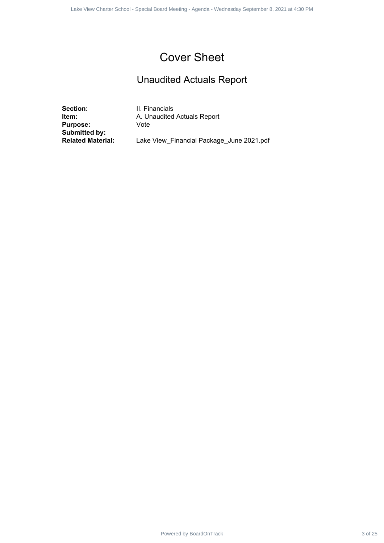#### Cover Sheet

#### Unaudited Actuals Report

**Section:** II. Financials<br> **Item:** A. Unaudited **Purpose:** Vote **Submitted by:**

**A. Unaudited Actuals Report** Power Charter 3 of 25 1 of 1Lake View Charter School - Special Board Meeting - Agenda<br>
Dinamical Actuals 3 of 25 1 of 1<br>
Unaudited Actuals Report<br>
- A Unaudited Actuals Report<br>
- A University Board Meeting - Meeting Proced

Lake View\_Financial Package\_June 2021.pdf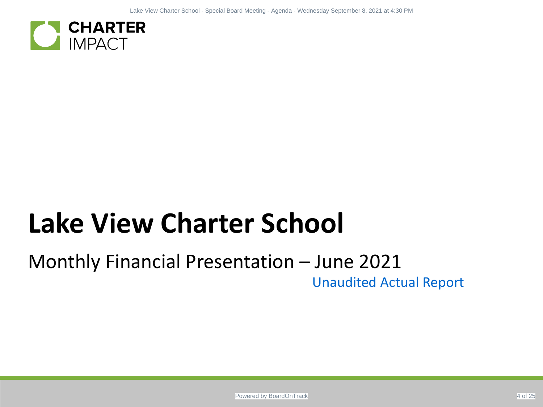

# Monthly Financial Presentation – June 2021 Unaudited Actual Report ER<br>Powered by Board Charter School<br>- Special Board Meeting - Special Board Meeting - Unaudited Actual Report<br>- Report Meeting - Agenda - Wednesday Section Track Process - Agenda - Wednesday Section Track Process - Agenda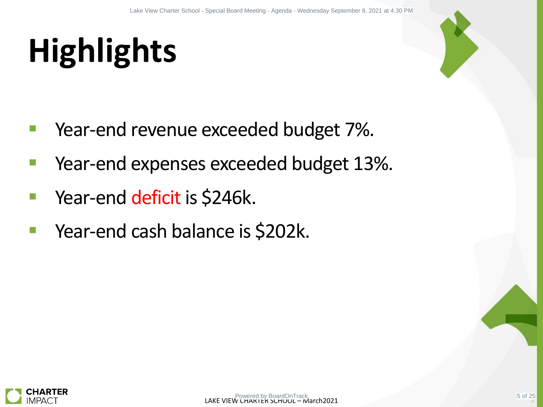# **Highlights**



- Year-end revenue exceeded budget 7%.
- Year-end expenses exceeded budget 13%. LACKER VIEW CHARTER SCHOOL – MARTIN CHARTER SCHOOL – MARTIN CHARTER SCHOOL – MARCHEN CHARTER SCHOOL - Special Board Meeting - Agenda - Wednesday September 8, 2021 at 4:30 PM Meeting - Wednesday September 8, 2021 at 4:30 PM
- Year-end deficit is \$246k.
- Year-end cash balance is \$202k.

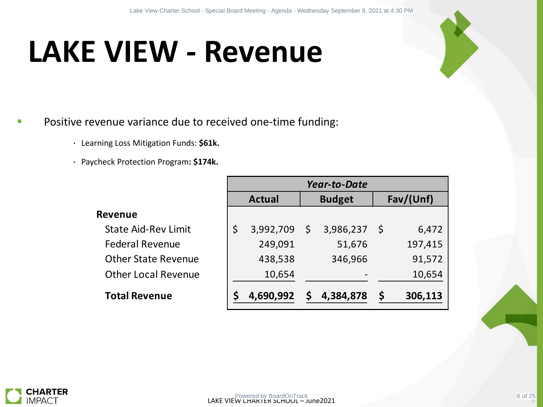## **LAKE VIEW - Revenue**

#### Positive revenue variance due to received one-time funding:

- ・ Learning Loss Mitigation Funds: **\$61k.**
- ・ Paycheck Protection Program**: \$174k.**

**Revenue**

| nue variance due to received one-time funding: |         |                |                     |               |  |
|------------------------------------------------|---------|----------------|---------------------|---------------|--|
| ng Loss Mitigation Funds: \$61k.               |         |                |                     |               |  |
| eck Protection Program: \$174k.                |         |                |                     |               |  |
|                                                |         |                | <b>Year-to-Date</b> |               |  |
|                                                |         | <b>Actual</b>  | <b>Budget</b>       | Fav/(Unf)     |  |
| evenue                                         |         |                |                     |               |  |
| <b>State Aid-Rev Limit</b>                     | $\zeta$ | $3,992,709$ \$ | $3,986,237$ \$      | 6,472         |  |
| <b>Federal Revenue</b>                         |         | 249,091        | 51,676              | 197,415       |  |
| <b>Other State Revenue</b>                     |         | 438,538        | 346,966             | 91,572        |  |
| <b>Other Local Revenue</b>                     |         | 10,654         |                     | 10,654        |  |
| <b>Total Revenue</b>                           | \$      | 4,690,992      | \$<br>4,384,878     | \$<br>306,113 |  |

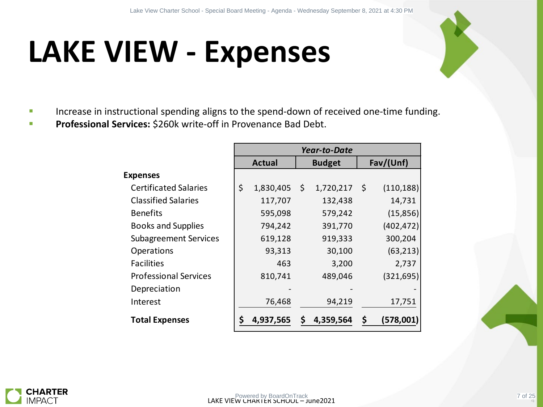## **LAKE VIEW - Expenses**



- Increase in instructional spending aligns to the spend-down of received one-time funding.
- **Professional Services:** \$260k write-off in Provenance Bad Debt.

| <b>IEW - Expenses</b>                                                    |                 |                     |                  |
|--------------------------------------------------------------------------|-----------------|---------------------|------------------|
|                                                                          |                 |                     |                  |
|                                                                          |                 |                     |                  |
| uctional spending aligns to the spend-down of received one-time funding. |                 |                     |                  |
| rvices: \$260k write-off in Provenance Bad Debt.                         |                 |                     |                  |
|                                                                          |                 | <b>Year-to-Date</b> |                  |
|                                                                          | <b>Actual</b>   | <b>Budget</b>       | Fav/(Unf)        |
| <b>Expenses</b>                                                          |                 |                     |                  |
| <b>Certificated Salaries</b>                                             | \$<br>1,830,405 | \$<br>1,720,217     | \$<br>(110, 188) |
| <b>Classified Salaries</b>                                               | 117,707         | 132,438             | 14,731           |
| <b>Benefits</b>                                                          | 595,098         | 579,242             | (15, 856)        |
| <b>Books and Supplies</b>                                                | 794,242         | 391,770             | (402, 472)       |
| <b>Subagreement Services</b>                                             | 619,128         | 919,333             | 300,204          |
| Operations                                                               | 93,313          | 30,100              | (63, 213)        |
| <b>Facilities</b>                                                        | 463             | 3,200               | 2,737            |
| <b>Professional Services</b>                                             | 810,741         | 489,046             | (321, 695)       |
| Depreciation                                                             |                 |                     |                  |
| Interest                                                                 | 76,468          | 94,219              | 17,751           |
| <b>Total Expenses</b>                                                    | \$<br>4,937,565 | \$<br>4,359,564     | \$<br>(578,001)  |
|                                                                          |                 |                     |                  |
|                                                                          |                 |                     |                  |
|                                                                          |                 |                     |                  |

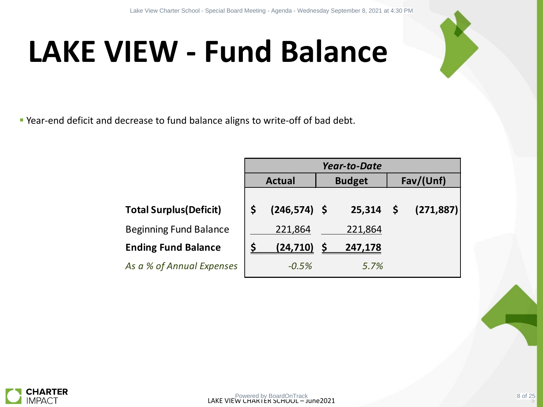# **LAKE VIEW - Fund Balance**

Year-end deficit and decrease to fund balance aligns to write-off of bad debt.

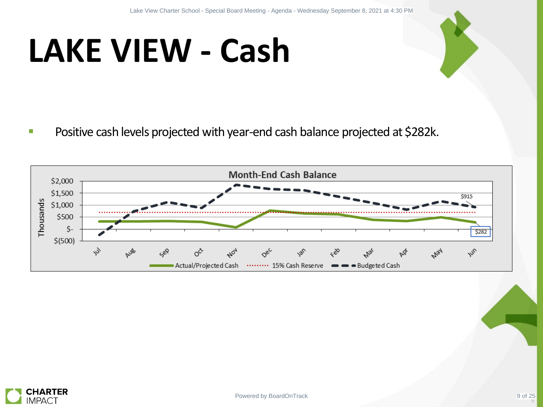# **LAKE VIEW - Cash**

**Positive cash levels projected with year-end cash balance projected at \$282k.** 



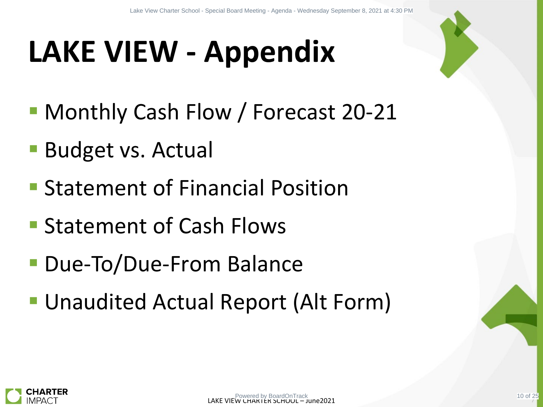# **LAKE VIEW - Appendix** EW - Appendix<br>
Cash Flow / Forecast 20-21<br>
s. Actual<br>
nt of Financial Position<br>
nt of Cash Flows<br>
Due-From Balance<br>
ed Actual Report (Alt Form)

- **Monthly Cash Flow / Forecast 20-21**
- **Budget vs. Actual**
- **Statement of Financial Position**
- **Statement of Cash Flows**
- **Due-To/Due-From Balance**
- Unaudited Actual Report (Alt Form)

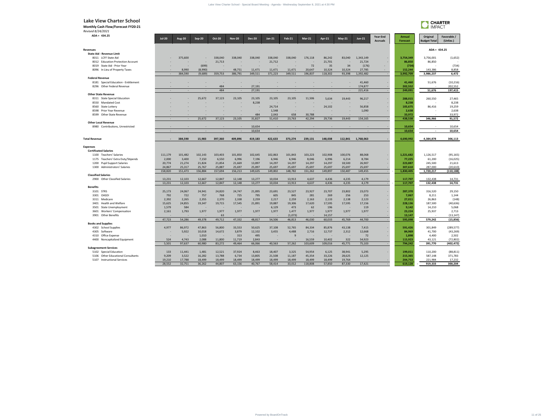| Revenue |
|---------|
|---------|

#### **Federal Revenue**

#### **Other State Revenue**

#### **Expenses**

- 1175 Teachers' Extra Duty/Stipends
- 

|                                                                                                                                                                                  |                                                              |                                                            |                                                                   |                                                                            |                                                                   |                                                                   |                                                    |                                                             | Lake View Charter School - Special Board Meeting - Agenda - Wednesday September 8, 2021 at 4:30 PM                                                                                                      |                                                            |                                                                       |                                                            |                             |                                                                    |                                                                     |                                                                      |
|----------------------------------------------------------------------------------------------------------------------------------------------------------------------------------|--------------------------------------------------------------|------------------------------------------------------------|-------------------------------------------------------------------|----------------------------------------------------------------------------|-------------------------------------------------------------------|-------------------------------------------------------------------|----------------------------------------------------|-------------------------------------------------------------|---------------------------------------------------------------------------------------------------------------------------------------------------------------------------------------------------------|------------------------------------------------------------|-----------------------------------------------------------------------|------------------------------------------------------------|-----------------------------|--------------------------------------------------------------------|---------------------------------------------------------------------|----------------------------------------------------------------------|
| <b>Lake View Charter School</b><br><b>Monthly Cash Flow/Forecast FY20-21</b><br>Revised 8/24/2021                                                                                |                                                              |                                                            |                                                                   |                                                                            |                                                                   |                                                                   |                                                    |                                                             |                                                                                                                                                                                                         |                                                            |                                                                       |                                                            |                             |                                                                    | <b>CHARTER</b><br><b>IMPACT</b>                                     |                                                                      |
| $ADA = 434.25$                                                                                                                                                                   | $Jul-20$                                                     | <b>Aug-20</b>                                              | Sep-20                                                            | <b>Oct-20</b>                                                              | <b>Nov-20</b>                                                     | <b>Dec-20</b>                                                     | $Jan-21$                                           | <b>Feb-21</b>                                               | $Mar-21$                                                                                                                                                                                                | <b>Apr-21</b>                                              | $May-21$                                                              | $Jun-21$                                                   | Year-End<br><b>Accruals</b> | Annual<br>Forecast                                                 | Original<br><b>Budget Total</b>                                     | Favorable /<br>(Unfav.)                                              |
| Revenues<br><b>State Aid - Revenue Limit</b><br>8011 LCFF State Aid<br>8012 Education Protection Account<br>8019 State Aid - Prior Year                                          | $\sim$                                                       | 375,600                                                    | $\sim$ 100 $\pm$<br>$\sim$<br>(699)                               | 338,040<br>21,713                                                          | 338,040                                                           | 338,040<br>$\sim$                                                 | 338,040<br>21,712<br>$\sim$                        | 338,040<br>$\sim$<br>$\sim$                                 | 176,118<br>72                                                                                                                                                                                           | 86,242<br>21,701<br>35                                     | 83,040<br>34                                                          | 1,343,149<br>21,724<br>(176)                               |                             | 3,754,349<br>86,850<br>(734)                                       | $ADA = 434.25$<br>3,756,001<br>86,850                               | (1,652)<br>$\sim$<br>(734)                                           |
| 8096 In Lieu of Property Taxes<br><b>Federal Revenue</b>                                                                                                                         |                                                              | 8,990<br>384,590                                           | (8,990)<br>(9,689)                                                | 359,753                                                                    | 48,751<br>386,791                                                 | 11,471<br>349,511                                                 | 11,471<br>371,223                                  | 11,471<br>349,511                                           | 20,647<br>196,837                                                                                                                                                                                       | 10,324<br>118,302                                          | 10,324<br>93,398                                                      | 27,785<br>1,392,482                                        |                             | 152,244<br>3,992,709                                               | 143,386<br>3,986,237                                                | 8,858<br>6,472                                                       |
| 8181 Special Education - Entitlement<br>8296 Other Federal Revenue                                                                                                               | $\sim$                                                       |                                                            |                                                                   | 484<br>484                                                                 |                                                                   | 27,191<br>27,191                                                  |                                                    |                                                             |                                                                                                                                                                                                         |                                                            |                                                                       | 41,460<br>174,877<br>221,416                               |                             | 41,460<br>202,552<br>249,091                                       | 51,676<br>51,676                                                    | (10, 216)<br>202,552<br>197,415                                      |
| <b>Other State Revenue</b><br>8311 State Special Education<br>8550 Mandated Cost<br>8560 State Lottery                                                                           |                                                              |                                                            | 25,672                                                            | 37,123                                                                     | 23,105                                                            | 23,105<br>8,238                                                   | 23,105<br>$\sim$<br>24,714                         | 23,105<br>$\sim$                                            | 11,506                                                                                                                                                                                                  | 5,634<br>$\sim$<br>24,102                                  | 19,443                                                                | 96,217<br>$\sim$<br>56,858                                 |                             | 288,015<br>8,238<br>105,675                                        | 260,550<br>$\sim$<br>86,416                                         | 27,465<br>8,238<br>19,259                                            |
| 8598 Prior Year Revenue<br>8599 Other State Revenue                                                                                                                              |                                                              |                                                            | 25,672                                                            | 37,123                                                                     | 23,105                                                            | 484<br>31,827                                                     | 1,548<br>2,043<br>51,410                           | $\sim$ $ \sim$<br>658<br>23,763                             | 30,788<br>42,294                                                                                                                                                                                        | $\sim$ $-$<br>$\sim$<br>29,736                             | 19,443                                                                | 1,090<br>$\sim$<br>154,165                                 |                             | 2,638<br>33,972<br>438,538                                         | 346,966                                                             | 2,638<br>33,972<br>91,572                                            |
| <b>Other Local Revenue</b><br>8980 Contributions, Unrestricted                                                                                                                   | $\sim$                                                       |                                                            |                                                                   |                                                                            |                                                                   | 10,654<br>10,654                                                  | $\sim$                                             | $\sim$                                                      |                                                                                                                                                                                                         | $\sim$                                                     |                                                                       | $\sim$                                                     |                             | 10,654<br>10,654                                                   | $\sim$                                                              | 10,654<br>10,654                                                     |
| <b>Total Revenue</b>                                                                                                                                                             | $\sim$                                                       | 384,590                                                    | 15,983                                                            | 397,360                                                                    | 409,896                                                           | 419,183                                                           | 422,633                                            | 373,274                                                     | 239,131                                                                                                                                                                                                 | 148,038                                                    | 112,841                                                               | 1,768,063                                                  |                             | 4,690,992                                                          | 4,384,878                                                           | 306,113                                                              |
| <b>Expenses</b><br><b>Certificated Salaries</b><br>1100 Teachers' Salaries<br>1175 Teachers' Extra Duty/Stipends<br>1200 Pupil Support Salaries<br>1300 Administrators' Salaries | 2,000<br>20,774<br>24,867<br>158,820                         | 3,400<br>21,274<br>25,317<br>151,473                       | 7,150<br>21,824<br>25,767<br>156,884                              | 6,550<br>21,854<br>25,887<br>157,694                                       | 6,996<br>21,669<br>25,697<br>156,213                              | 7,196<br>13,897<br>25,897<br>149,635                              | 6,946<br>14,297<br>25,697<br>149,802               | 6,946<br>14,297<br>25,697<br>148,782                        | $111,179 \qquad 101,482 \qquad 102,143 \qquad 103,403 \qquad 101,850 \qquad 102,645 \qquad 102,863 \qquad 101,843 \qquad 103,223 \qquad 102,908 \qquad 100,076$<br>8,046<br>14,297<br>25,697<br>151,262 | 6,996<br>14,297<br>25,697<br>149,897                       | 6,214<br>18,500<br>25,697<br>150,487                                  | 88,068<br>8,784<br>26,907<br>25,697<br>149,455             |                             | 1,221,682<br>77,225<br>223,887<br>307,610<br>1,830,405             | 1,126,517<br>61,200<br>245,500<br>287,000<br>1,720,217              | (95, 165)<br>(16, 025)<br>21,613<br>(20, 610)<br>(110, 188)          |
| <b>Classified Salaries</b><br>2900 Other Classified Salaries                                                                                                                     | 13,231<br>13,231                                             | 12,103<br>12,103                                           | 12,667<br>12,667                                                  | 12,847<br>12,847                                                           | 12,148<br>12,148                                                  | 13,277<br>13,277                                                  | 10,034<br>10,034                                   | 13,913<br>13,913                                            | 4,637<br>4,637                                                                                                                                                                                          | 4,436<br>4,436                                             | 4,235<br>4,235                                                        | 4,179<br>4,179                                             | $\sim$ 10 $\pm$             | 117,707<br>117,707                                                 | 132,438<br>132,438                                                  | 14,731<br>14,731                                                     |
| <b>Benefits</b><br>3101 STRS<br>3301 OASDI<br>3311 Medicare<br>3401 Health and Welfare<br>3501 State Unemployment<br>3601 Workers' Compensation<br>3901 Other Benefits           | 25,173<br>792<br>2,392<br>15,625<br>1,579<br>2,161<br>$\sim$ | 24,067<br>722<br>2,265<br>24,855<br>584<br>1,793<br>$\sim$ | 24,941<br>757<br>2,355<br>19,347<br>$\sim 100$ m $^{-1}$<br>1,977 | 24,820<br>768<br>2,370<br>19,715<br>$\sim 100$ km s $^{-1}$<br>1,977<br>63 | 24,747<br>725<br>2,338<br>17,545<br>$\sim$ $-$<br>1,977<br>$\sim$ | 21,895<br>795<br>2,259<br>21,891<br>$\sim$ $-$<br>1,977<br>$\sim$ | 23,691<br>605<br>2,217<br>19,887<br>6,129<br>1,977 | 23,527<br>845<br>2,259<br>19,306<br>473<br>1,477<br>(1,073) | 23,927<br>281<br>2,163<br>17,620<br>62<br>1,977                                                                                                                                                         | 23,707<br>269<br>2,133<br>17,595<br>196<br>1,977<br>14,157 | 23,802<br>256<br>2,138<br>17,595<br>$\sim$ $ \sim$<br>1,977<br>$\sim$ | 23,073<br>253<br>2,123<br>17,156<br>119<br>1,977<br>$\sim$ |                             | 287,370<br>7,067<br>27,011<br>228,136<br>9,142<br>23,224<br>13,147 | 316,520<br>8,211<br>26,863<br>187,500<br>14,210<br>25,937<br>$\sim$ | 29,150<br>1,144<br>(148)<br>(40, 636)<br>5,068<br>2,713<br>(13, 147) |
| <b>Books and Supplies</b><br>4302 School Supplies<br>4305 Software<br>4310 Office Expense                                                                                        | 47,723<br>4,977<br>$\sim$                                    | 54,286<br>86,972<br>5,922                                  | 49,378<br>47,863<br>10,018<br>1,010                               | 49,712<br>56,800<br>14,672<br><b>Contract</b>                              | 47,332<br>33,553<br>3,879<br>313                                  | 48,817<br>50,625<br>12,102<br>495                                 | 54,506<br>37,108<br>3,455<br>$\sim$ $ \sim$        | 46,813<br>52,765<br>4,488<br>9                              | 46,030<br>84,334<br>2,716<br>$\sim$ $ \sim$                                                                                                                                                             | 60,033<br>85,876<br>12,737<br>$\sim$ $ \sim$               | 45,769<br>43,138<br>2,312<br>$\sim$                                   | 44,700<br>7,415<br>12,668<br>72                            |                             | 595,098<br>591,426<br>84,969<br>1,898                              | 579,242<br>301,849<br>41,700<br>4,400                               | (15, 856)<br>(289, 577)<br>(43, 269)<br>2,502                        |
| 4400 Noncapitalized Equipment<br><b>Subagreement Services</b>                                                                                                                    | 524<br>5,501                                                 | 4,743<br>97,637                                            | 2,088<br>60,980                                                   | 11,800<br>83,272                                                           | 11,719<br>49,464                                                  | 2,843<br>66,066                                                   | $\sim$<br>40,563                                   | $\sim$ $-$<br>57,262                                        | 16,559<br>103,609                                                                                                                                                                                       | 10,402<br>109,016                                          | 322<br>45,771                                                         | 54,923<br>75,103                                           |                             | 115,923<br>794,242                                                 | 43,121<br>391,770                                                   | (72, 802)<br>(402, 472)                                              |
| 5102 Special Education<br>5106 Other Educational Consultants<br>5107 Instructional Services                                                                                      | 133<br>9,209<br>19,210<br>28,552                             | 11,441<br>3,522<br>17,788<br>32,751                        | 1,481<br>16,282<br>18,499<br>36,262                               | 12,521<br>13,788<br>18,499<br>44,807                                       | 37,924<br>6,734<br>18,499<br>63,156                               | 8,463<br>13,805<br>18,499<br>40,767                               | 18,407<br>21,508<br>18,499<br>58,414               | 3,325<br>11,187<br>18,499<br>33,012                         | 54,954<br>45,354<br>18,499<br>118,808                                                                                                                                                                   | 6,125<br>33,226<br>18,499<br>57,850                        | 38,941<br>28,625<br>19,764<br>87,330                                  | 5,295<br>12,125<br>$\sim$<br>17,421                        |                             | 199,011<br>215,365<br>204,753<br>619,128                           | 110,200<br>587,148<br>221,984<br>919,333                            | (88, 811)<br>371,783<br>17,232<br>300,204                            |
|                                                                                                                                                                                  |                                                              |                                                            |                                                                   |                                                                            |                                                                   |                                                                   |                                                    |                                                             |                                                                                                                                                                                                         |                                                            |                                                                       |                                                            |                             |                                                                    |                                                                     |                                                                      |
|                                                                                                                                                                                  |                                                              |                                                            |                                                                   |                                                                            |                                                                   |                                                                   |                                                    |                                                             |                                                                                                                                                                                                         |                                                            |                                                                       |                                                            |                             |                                                                    |                                                                     |                                                                      |
|                                                                                                                                                                                  |                                                              |                                                            |                                                                   |                                                                            |                                                                   |                                                                   | Powered by BoardOnTrack                            |                                                             |                                                                                                                                                                                                         |                                                            |                                                                       |                                                            |                             |                                                                    |                                                                     |                                                                      |



| <b>Classified Salaries</b> |                                |
|----------------------------|--------------------------------|
|                            | 2900 Other Classified Salaries |

| ------- |         |  |
|---------|---------|--|
|         | า 1 ก 1 |  |

| 3501 State Unemployment    |
|----------------------------|
| 3601 Workers' Compensation |

| 3901 Other Benefits |  |
|---------------------|--|
|                     |  |

#### **Books and Supplies**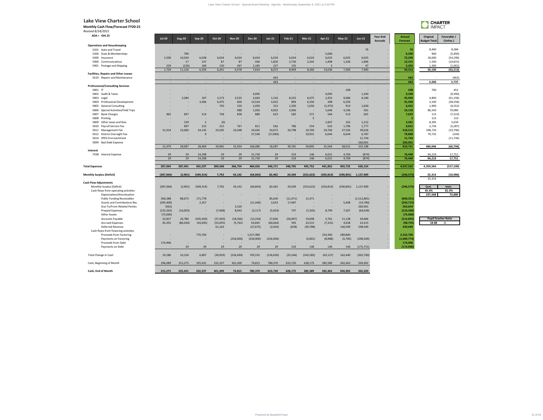**Monthly Cash Flow/Forecast FY20-21**

*Revised 8/24/2021* **ADA = 434.25**

|                 | <b>IMPACT</b>       | <b>CHARTER</b>   |
|-----------------|---------------------|------------------|
| Annual          | Original            | Favorable /      |
| <b>Forecast</b> | <b>Budget Total</b> | (Unfav.)         |
|                 |                     |                  |
| 16              | 8,400               | 8,384            |
| 6,390           | 900                 | (5,490)          |
| 72,290          | 18,000              | (54, 290)        |
| 12,315          | 1,500               | (10, 815)        |
| 2,302           | 1,300               | (1,002)          |
| 93,313          | 30,100              | (63, 213)        |
|                 |                     |                  |
| 463             |                     | (463)            |
| 463             | 3,200               | 2,737            |
|                 |                     |                  |
| 248<br>9,390    | 700                 | 452<br>(9,390)   |
| 45,994          | 4,800               | (41, 194)        |
| 41,458          | 3,100               | (38, 358)        |
| 6,452           | 1,900               | (4, 552)         |
| 16,156          | 86,243              | 70,086           |
| 7,625           | 115                 | (7,510)          |
| 5               | 115                 | 110              |
| 3,361           | 8,395               | 5,034            |
| 9,021           | 3,734               | (5, 287)         |
| 318,515         | 298,720             | (19, 796)        |
| 79,868          | 79,725              | (144)            |
| 11,744          |                     | (11, 744)        |
| 260,901         |                     |                  |
| 810,741         | 489,046             | (60, 794)        |
| 76,468          | 94,219              |                  |
| 76,468          | 94,219              | 17,751<br>17,751 |
|                 |                     |                  |
| 4,937,565       | 4,359,564           | (317, 100)       |
|                 |                     |                  |
| (246,573)       | 25,314              | (10,986)         |
|                 | 25,314              |                  |
| (246, 573)      | Cert.               | Instr.           |
|                 | 45.4%               | 81.4%            |
|                 | 237,568             | 72,880           |
| (600, 331)      |                     |                  |
| (293, 715)      |                     |                  |
| 263,659         |                     |                  |
| (210, 300)      |                     |                  |
| (75.000)        |                     |                  |

|                                             | Jul-20     | Aug-20    | Sep-20         | Oct-20    | NOV-ZU    | Dec-20                   | Jan-21    | <b>Feb-21</b> | $Mar-Z1$   | Apr-21     | May-21     | Jun-21       | <b>Accruals</b> | <b>Forecast</b> | <b>Budget Total</b>         | (Unfav.)     |
|---------------------------------------------|------------|-----------|----------------|-----------|-----------|--------------------------|-----------|---------------|------------|------------|------------|--------------|-----------------|-----------------|-----------------------------|--------------|
| <b>Operations and Housekeeping</b>          |            |           |                |           |           |                          |           |               |            |            |            |              |                 |                 |                             |              |
| 5201 Auto and Travel                        |            |           |                |           |           |                          |           |               |            |            |            | 16           |                 | <b>16</b>       | 8,400                       | 8,384        |
| 5300 Dues & Memberships                     |            | 790       |                |           |           |                          |           |               |            | 5,600      |            | $\sim$       |                 | 6,390           | 900                         | (5, 490)     |
| 5400 Insurance                              | 1,500      | 10,544    | 6,028          | 6,024     | 6,024     | 6,024                    | 6,024     | 6,024         | 6,024      | 6,025      | 6,025      | 6,025        |                 | 72,290          | 18,000                      | (54, 290)    |
| 5900 Communications                         |            | 17        | 147            | 87        | 87        | 446                      | 1,820     | 2,730         | 2,342      | 1,408      | 1,336      | 1,896        |                 | 12,315          | 1,500                       | (10, 815)    |
| 5901 Postage and Shipping                   | 229        | (226)     | 184            | 130       | 367       | 1,185                    | 227       | 155           |            |            |            | 47           |                 | 2,302           | 1,300                       | (1,002)      |
|                                             | 1,729      | 11,126    | 6,359          | 6,241     | 6,478     | 7,654                    | 8,072     | 8,909         | 8,366      | 13,036     | 7,360      | 7,983        |                 | 93,313          | 30,100                      | (63, 213)    |
| <b>Facilities, Repairs and Other Leases</b> |            |           |                |           |           |                          |           |               |            |            |            |              |                 |                 |                             |              |
| 5610 Repairs and Maintenance                |            |           |                |           |           |                          | 463       |               |            |            |            |              |                 | 463             |                             | (463)        |
|                                             |            |           |                |           |           | $\sim$                   | 463       | $\sim$        |            |            |            | $\sim$       |                 | 463             | 3,200                       | 2,737        |
| <b>Professional/Consulting Services</b>     |            |           |                |           |           |                          |           |               |            |            |            |              |                 |                 |                             |              |
| 5801 IT                                     |            |           |                |           |           |                          |           |               |            |            | 248        |              |                 | 248             | 700                         | 452          |
| 5802 Audit & Taxes                          |            |           |                |           |           | 4,095                    |           |               |            | 4,095      | $\sim$     | 1,200        |                 | 9,390           | $\sim$                      | (9, 390)     |
| 5803 Legal                                  |            | 3,284     | 187            | 2,173     | 3,523     | 2,664                    | 1,516     | 8,255         | 6,075      | 2,452      | 9,686      | 6,180        |                 | 45,994          | 4,800                       | (41, 194)    |
| 5804 Professional Development               |            |           | 3,406          | 6,475     | 600       | 13,534                   | 3,452     | 894           | 6,350      | 398        | 6,350      |              |                 | 41,458          | 3,100                       | (38, 358)    |
| <b>General Consulting</b><br>5805           |            |           |                | 750       | 150       | 1,050                    | 313       | 1,500         | 1,650      | (1, 475)   | 914        | 1,600        |                 | 6,452           | 1,900                       | (4, 552)     |
| 5806 Special Activities/Field Trips         |            |           |                |           | 988       | 1,056                    | 4,832     | 2,966         |            | 1,646      | 4,106      | 561          |                 | 16,156          | 86,243                      | 70,086       |
| <b>Bank Charges</b><br>5807                 | 465        | 697       | 514            | 758       | 858       | 880                      | 623       | 582           | 571        | 564        | 513        | 601          |                 | 7,625           | 115                         | (7, 510)     |
| 5808<br>Printing                            |            |           |                |           |           |                          |           |               | 5          |            |            |              |                 |                 | 115                         | 110          |
| 5809 Other taxes and fees                   |            | 139       | $\overline{2}$ | (0)       |           |                          |           | $\sim$        |            | 1,847      | 162        | 1,212        |                 | 3,361           | 8,395                       | 5,034        |
| 5810 Payroll Service Fee                    |            | 907       | 215            | 215       | 767       | 811                      | 562       | 786           | 554        | 633        | 1,796      | 1,777        |                 | 9,021           | 3,734                       | (5, 287)     |
| 5811 Management Fee                         | 31,014     | 23,060    | 24,145         | 24,595    | 25,048    | 24,445                   | 24,673    | 24,798        | 24,760     | 24,760     | 27,593     | 39,626       |                 | 318,515         | 298,720                     | (19, 796)    |
| 5812 District Oversight Fee                 |            |           | $\overline{0}$ |           |           | 57,546                   | (17, 683) |               | 19,931     | 6,644      | 6,644      | 6,787        |                 | 79,868          | 79,725                      | (144)        |
| 5814 SPED Encroachment                      |            |           |                |           |           |                          |           |               |            |            |            | 11,744       |                 | 11,744          |                             | (11, 744)    |
| <b>Bad Debt Expense</b><br>5899             |            |           |                |           |           |                          |           |               |            |            |            | 260,901      |                 | 260,901         |                             |              |
|                                             | 31,479     | 28,087    | 28,469         | 34,965    | 31,934    | 106,080                  | 18,287    | 39,781        | 59,895     | 41,564     | 58,012     | 332,188      |                 | 810,741         | 489,046                     | (60, 794)    |
| <b>Interest</b>                             |            |           |                |           |           |                          |           |               |            |            |            |              |                 |                 |                             |              |
| 7438 Interest Expense                       | 29         | 29        | 14,298         | 29        | 29        | 51,730                   | 29        | 233           | 146        | 6,021      | 4,769      | (874)        |                 | 76,468          | 94,219                      | 17,751       |
|                                             | 29         | 29        | 14,298         | 29        | 29        | 51,730                   | 29        | 233           | 146        | 6,021      | 4,769      | (874)        |                 | 76,468          | 94,219                      | 17,751       |
|                                             |            |           |                |           |           |                          |           |               |            |            |            |              |                 |                 |                             |              |
| <b>Total Expenses</b>                       | 287,064    | 387,491   | 365,297        | 389,568   | 366,754   | 484,026                  | 340,171   | 348,705       | 492,752    | 441,852    | 403,732    | 630,154      |                 | 4,937,565       | 4,359,564                   | (317, 100)   |
| <b>Monthly Surplus (Deficit)</b>            | (287,064)  | (2,901)   | (349, 314)     | 7,792     | 43,142    | (64, 843)                | 82,462    | 24,569        | (253, 622) | (293, 814) | (290, 891) | 1,137,909    |                 | (246, 573)      | 25,314                      | (10, 986)    |
| <b>Cash Flow Adjustments</b>                |            |           |                |           |           |                          |           |               |            |            |            |              |                 |                 | 25,314                      |              |
| Monthly Surplus (Deficit)                   | (287,064)  | (2,901)   | (349, 314)     | 7,792     | 43,142    | (64, 843)                | 82,462    | 24,569        | (253, 622) | (293, 814) | (290, 891) | 1,137,909    |                 | (246, 573)      | Cert.                       | Instr.       |
| Cash flows from operating activities        |            |           |                |           |           |                          |           |               |            |            |            |              |                 |                 | 45.4%                       | 81.4%        |
| Depreciation/Amortization                   |            |           |                |           |           |                          |           |               |            |            |            |              |                 |                 | 237,568                     | 72,880       |
| <b>Public Funding Receivables</b>           | 566,388    | 88,675    | 171,778        |           |           |                          | 85,630    | (11, 471)     | 11,471     |            |            | (1,512,801)  |                 | (600, 331)      |                             |              |
| Grants and Contributions Rec.               | (295, 400) |           | 2,357          |           |           | (11, 440)                | 2,653     | 17,487        |            |            | 5,408      | (14, 780)    |                 | (293, 715)      |                             |              |
| Due To/From Related Parties                 | (562)      |           |                |           | 3,320     | $\overline{\phantom{a}}$ |           |               |            |            |            | 260,901      |                 | 263,659         |                             |              |
| Prepaid Expenses                            | (132, 263) | (16,003)  |                | (7, 408)  | 8,043     | (2, 117)                 | (5,653)   | 797           | (7, 205)   | 8,799      | 7,367      | (64, 658)    |                 | (210, 300)      |                             |              |
| <b>Other Assets</b>                         | (75,000)   |           | $\sim$         |           |           |                          |           | $\sim$        |            |            |            |              |                 | (75,000)        |                             |              |
| Accounts Payable                            | 22,827     | 26,786    | (545,050)      | (37, 450) | (18, 366) | (13, 244)                | 27,836    | (56, 897)     | 19,698     | 3,761      | 11,138     | 44,066       |                 | (514, 895)      | <b>Pupil: Teacher Ratio</b> |              |
| <b>Accrued Expenses</b>                     | 45,355     | (86, 430) | (43, 695)      | (55,055)  | (5, 762)  | 63,845                   | (60, 664) | 395           | 23,515     | (7, 331)   | 4,658      | 22,415       |                 | (98, 755)       | 18.88                       | $\mathbf{1}$ |
| Deferred Revenue                            |            |           |                | 61,163    |           | (27, 675)                | (2,043)   | (658)         | (30, 788)  |            | 140,599    | 298,500      |                 | 439,099         |                             |              |
| Cash flows from financing activities        |            |           |                |           |           |                          |           |               |            |            |            |              |                 |                 |                             |              |
| <b>Proceeds from Factoring</b>              |            |           | 770,700        |           |           | 1,017,900                |           |               |            | 254,300    | 289,800    |              |                 | 2,332,700       |                             |              |
| Payments on Factoring                       |            |           |                |           | (256,900) | (256,900)                | (256,900) |               | (5,801)    | (8,988)    | (5,785)    | (298, 500)   |                 | (1,089,774)     |                             |              |
| Proceeds from Debt                          | 174,906    |           |                |           |           |                          |           |               |            |            |            |              |                 | 174,906         |                             |              |
| Daymonts on Dobt                            |            |           |                |           |           |                          | $\Omega$  | 222           |            |            | 1AC        | $117E$ $7E1$ |                 | $117A$ $00C$    |                             |              |

**Cash, End of Month 315,275** 325,431 332,237 301,309 74,815 780,370 653,720 628,175

# Cash, Beginning of Month 2006,089 315,275 325,431 332,237 301,309 74,815 780,370 653,720

|                                      |                                             |                                                |                                                                |                                              | Lake View Charter School - Special Board Meeting - Agenda - Wednesday September 8, 2021 at 4:30 PM |                                                           |                                         |                                                   |                                            |                                              |                                                                                   |                  |                                     |                                      |                                   |
|--------------------------------------|---------------------------------------------|------------------------------------------------|----------------------------------------------------------------|----------------------------------------------|----------------------------------------------------------------------------------------------------|-----------------------------------------------------------|-----------------------------------------|---------------------------------------------------|--------------------------------------------|----------------------------------------------|-----------------------------------------------------------------------------------|------------------|-------------------------------------|--------------------------------------|-----------------------------------|
|                                      |                                             |                                                |                                                                |                                              |                                                                                                    |                                                           |                                         |                                                   |                                            |                                              |                                                                                   |                  |                                     | <b>CHARTER</b><br><b>IMPACT</b>      |                                   |
| <b>Jul-20</b>                        | <b>Aug-20</b>                               | Sep-20                                         | <b>Oct-20</b>                                                  | <b>Nov-20</b>                                | <b>Dec-20</b>                                                                                      | $Jan-21$                                                  | <b>Feb-21</b>                           | <b>Mar-21</b>                                     | <b>Apr-21</b>                              | May-21                                       | $Jun-21$                                                                          | <b>Year-End</b>  | Annual                              | Original                             | Favorable /                       |
|                                      |                                             |                                                |                                                                |                                              |                                                                                                    |                                                           |                                         |                                                   |                                            |                                              | 16                                                                                | <b>Accruals</b>  | Forecast<br><b>16</b>               | <b>Budget Total</b><br>8,400         | (Unfav.)<br>8,384                 |
| 1,500                                | 790<br>10,544                               | $\sim$<br>6,028                                | $\sim$<br>6,024                                                | $\sim$<br>6,024                              | $\sim$<br>6,024                                                                                    | $\sim$<br>6,024                                           | $\sim$<br>6,024                         | $\sim$<br>6,024                                   | 5,600<br>6,025                             | $\sim$<br>6,025                              | $\sim$<br>6,025                                                                   |                  | 6,390<br>72,290                     | 900<br>18,000                        | (5,490)<br>(54, 290)              |
| $\sim$<br>229<br>1,729               | 17<br>(226)<br>11,126                       | 147<br>184<br>6,359                            | 87<br>130<br>6,241                                             | 87<br>367<br>6,478                           | 446<br>1,185<br>7,654                                                                              | 1,820<br>227<br>8,072                                     | 2,730<br>155<br>8,909                   | 2,342<br>$\sim$<br>8,366                          | 1,408<br>$\overline{\mathbf{3}}$<br>13,036 | 1,336<br>7,360                               | 1,896<br>47<br>7,983                                                              |                  | 12,315<br>2,302<br>93,313           | 1,500<br>1,300<br>30,100             | (10, 815)<br>(1,002)<br>(63, 213) |
|                                      |                                             |                                                |                                                                |                                              |                                                                                                    | 463                                                       |                                         |                                                   |                                            |                                              |                                                                                   |                  | 463                                 |                                      | (463)                             |
| $\sim$                               | $\sim$                                      | $\sim$                                         | $\sim$                                                         | $\sim$                                       | $\sim$                                                                                             | 463                                                       | $\sim$ $-$                              | $\sim$                                            | $\sim$                                     | $\sim$<br>248                                | $\sim$                                                                            |                  | 463<br>248                          | 3,200<br>700                         | 2,737<br>452                      |
|                                      | 3,284                                       | $\sim$<br>187                                  | $\sim$<br>2,173                                                | $\sim$<br>$\sim$<br>3,523                    | $\overline{\phantom{a}}$<br>4,095<br>2,664                                                         | $\overline{\phantom{a}}$<br>$\sim$<br>1,516               | $\sim$<br>$\sim$<br>8,255               | $\sim$<br>$\sim$<br>6,075                         | $\sim$<br>4,095<br>2,452                   | $\sim$ $-$<br>9,686                          | $\sim$<br>1,200<br>6,180                                                          |                  | 9,390<br>45,994                     | $\sim$<br>4,800                      | (9,390)<br>(41, 194)              |
|                                      |                                             | 3,406<br>$\sim$                                | 6,475<br>750                                                   | 600<br>150                                   | 13,534<br>1,050                                                                                    | 3,452<br>313                                              | 894<br>1,500                            | 6,350<br>1,650                                    | 398<br>(1, 475)                            | 6,350<br>914                                 | $\sim$ $-$<br>1,600                                                               |                  | 41,458<br>6,452                     | 3,100<br>1,900                       | (38, 358)<br>(4, 552)             |
| 465                                  | $\sim$<br>697<br>$\sim$                     | $\sim$<br>514<br>$\sim$                        | $\sim$<br>758<br>$\sim$                                        | 988<br>858<br>$\sim$                         | 1,056<br>880<br>$\overline{\phantom{a}}$                                                           | 4,832<br>623<br>$\sim$                                    | 2,966<br>582<br>$\sim$                  | $\sim$ $ \sim$<br>571<br>$5\phantom{.0}$          | 1,646<br>564<br>$\sim$                     | 4,106<br>513<br>$\sim$ $-$                   | 561<br>601<br>$\sim$                                                              |                  | 16,156<br>7,625<br>- 5              | 86,243<br>115<br>115                 | 70,086<br>(7,510)<br>110          |
|                                      | 139<br>907                                  | $\overline{2}$<br>215                          | (0)<br>215                                                     | $\sim$<br>767                                | $\sim$<br>811                                                                                      | $\sim$<br>562                                             | $\sim$<br>786                           | $\sim$<br>554                                     | 1,847<br>633                               | 162<br>1,796                                 | 1,212<br>1,777                                                                    |                  | 3,361<br>9,021                      | 8,395<br>3,734                       | 5,034<br>(5, 287)                 |
| 31,014                               | 23,060                                      | 24,145<br>$\mathbf 0$<br>$\sim$                | 24,595<br>$\overline{\phantom{a}}$<br>$\overline{\phantom{a}}$ | 25,048<br>$\overline{\phantom{a}}$<br>$\sim$ | 24,445<br>57,546<br>$\overline{\phantom{a}}$                                                       | 24,673<br>(17, 683)<br>$\sim$                             | 24,798<br>$\sim$<br>$\sim$              | 24,760<br>19,931<br>$\sim$                        | 24,760<br>6,644                            | 27,593<br>6,644                              | 39,626<br>6,787<br>11,744                                                         |                  | 318,515<br>79,868<br>11,744         | 298,720<br>79,725<br>$\sim$          | (19, 796)<br>(144)<br>(11, 744)   |
| 31,479                               | 28,087                                      | $\sim$<br>28,469                               | $\overline{\phantom{a}}$<br>34,965                             | $\sim$<br>31,934                             | $\overline{\phantom{a}}$<br>106,080                                                                | $\overline{\phantom{a}}$<br>18,287                        | $\sim$<br>39,781                        | $\sim$<br>59,895                                  | 41,564                                     | 58,012                                       | 260,901<br>332,188                                                                |                  | 260,901<br>810,741                  | 489,046                              | (60, 794)                         |
| 29<br>29                             | 29<br>29                                    | 14,298<br>14,298                               | 29<br>29                                                       | 29<br>29                                     | 51,730<br>51,730                                                                                   | 29<br>29                                                  | 233<br>233                              | 146<br>146                                        | 6,021<br>6,021                             | 4,769<br>4,769                               | (874)<br>(874)                                                                    |                  | 76,468<br>76,468                    | 94,219<br>94,219                     | 17,751<br>17,751                  |
| 287,064                              | 387,491                                     | 365,297                                        | 389,568                                                        | 366,754                                      | 484,026                                                                                            | 340,171                                                   | 348,705                                 | 492,752                                           | 441,852                                    | 403,732                                      | 630,154                                                                           |                  | 4,937,565                           | 4,359,564                            | (317, 100)                        |
| (287,064)                            | (2,901)                                     | (349, 314)                                     | 7,792                                                          | 43,142                                       | (64, 843)                                                                                          | 82,462                                                    | 24,569                                  | (253, 622)                                        | (293, 814)                                 |                                              | $(290,891)$ 1,137,909                                                             |                  | (246, 573)                          | 25,314<br>25,314                     | (10, 986)                         |
| (287,064)<br>$\sim 100$ km s $^{-1}$ | (2,901)<br>$\sim$                           | (349, 314)<br>$\sim 100$                       | 7,792<br>$\sim$                                                | 43,142<br>$\sim$                             | (64, 843)<br>$\sim$                                                                                | 82,462<br>$\sim 100$ km s $^{-1}$                         | 24,569<br>$\sim 1000$ km s $^{-1}$      | (253, 622)<br>$\sim$                              | (293, 814)<br>$\sim$                       | $\sim$                                       | $(290,891)$ 1,137,909<br><b>Contract Contract</b>                                 | н.               | (246, 573)                          | Cert.<br>45.4%<br>237,568            | Instr.<br>81.4%<br>72,880         |
| 566,388<br>(295, 400)                | 88,675<br>$\sim$                            | 171,778<br>2,357                               | $\sim$ $-$                                                     | $\sim$                                       | $\sim$<br>(11, 440)                                                                                | 85,630<br>2,653                                           | (11, 471)<br>17,487                     | 11,471<br>$\sim$                                  | $\sim$<br>$\sim$                           | ۰.<br>5,408                                  | (1,512,801)<br>(14, 780)                                                          | $\sim$<br>$\sim$ | (600, 331)<br>(293, 715)            |                                      |                                   |
| (562)<br>(132, 263)<br>(75,000)      | $\sim$<br>(16,003)                          | $\sim$ $ \sim$<br>$\sim$ $-$<br>$\sim$ $ \sim$ | $\sim$<br>(7, 408)                                             | 3,320<br>8,043                               | $\sim$<br>(2, 117)                                                                                 | $\sim 100$ km s $^{-1}$<br>(5,653)                        | $\sim$ $ \sim$<br>797<br>$\sim$ $ \sim$ | $\sim$ $ \sim$<br>(7, 205)                        | $\sim$<br>8,799                            | $\sim$<br>7,367                              | 260,901<br>(64, 658)<br>$\mathcal{L}_{\text{max}}$ and $\mathcal{L}_{\text{max}}$ | н.<br>н.         | 263,659<br>(210, 300)<br>(75,000)   |                                      |                                   |
| 22,827<br>45,355                     | $\sim 100$ m $^{-1}$<br>26,786<br>(86, 430) | (545,050)<br>(43, 695)                         | $\sim 100$ m $^{-1}$<br>(37, 450)<br>(55,055)<br>61,163        | $\sim$ 100 $\pm$<br>(18, 366)<br>(5, 762)    | $\sim$ $ \sim$<br>(13, 244)<br>63,845<br>(27, 675)                                                 | $\sim 100$ km s $^{-1}$<br>27,836<br>(60, 664)<br>(2,043) | (56, 897)<br>395<br>(658)               | $\sim$ 100 $\pm$<br>19,698<br>23,515<br>(30, 788) | $\sim 100$ m $^{-1}$<br>3,761<br>(7, 331)  | $\sim$ $ \sim$<br>11,138<br>4,658<br>140,599 | 44,066<br>22,415<br>298,500                                                       | $\sim$           | (514, 895)<br>(98, 755)<br>439,099  | <b>Pupil: Teacher Ratio</b><br>18.88 | $\mathbf{1}$                      |
| $\sim$<br>174,906                    | $\sim$                                      | 770,700<br>$\sim$<br>$\sim$                    | $\sigma_{\rm{max}}$<br>$\sim$<br>$\sim$ $-$                    | $\sim$ $-$<br>(256,900)<br>$\sim$            | 1,017,900<br>(256,900)<br>$\overline{\phantom{a}}$                                                 | (256,900)<br>$\sim$                                       | $\sim$                                  | (5,801)<br>$\sim$                                 | 254,300<br>(8,988)<br>$\sim$               | 289,800<br>(5,785)                           | (298, 500)<br>$\sim$                                                              |                  | 2,332,700<br>(1,089,774)<br>174,906 |                                      |                                   |
| $\sim$ $ \sim$<br>19,186             | 29<br>10,156                                | 29<br>6,807                                    | 29<br>(30, 929)                                                | 29<br>(226, 494)                             | 29<br>705,555                                                                                      | 29<br>(126, 650)                                          | 233<br>(25, 546)                        | 146<br>(242, 585)                                 | 146<br>(43, 127)                           | 146<br>162,440                               | (175, 751)<br>(302, 700)                                                          |                  | (174, 906)                          |                                      |                                   |
| 296,089                              | 315,275                                     | 325,431                                        | 332,237                                                        | 301,309                                      | 74,815                                                                                             | 780,370                                                   | 653,720                                 | 628,175                                           | 385,589                                    | 342,463                                      | 504,902                                                                           |                  |                                     |                                      |                                   |
| 315,275                              | 325,431                                     | 332,237                                        | 301,309                                                        | 74,815                                       | 780,370                                                                                            | 653,720                                                   | 628,175                                 | 385,589                                           | 342,463                                    | 504,902                                      | 202,203                                                                           |                  |                                     |                                      |                                   |
|                                      |                                             |                                                |                                                                |                                              |                                                                                                    |                                                           |                                         |                                                   |                                            |                                              |                                                                                   |                  |                                     |                                      |                                   |
|                                      |                                             |                                                |                                                                |                                              |                                                                                                    |                                                           |                                         |                                                   |                                            |                                              |                                                                                   |                  |                                     |                                      |                                   |
|                                      |                                             |                                                |                                                                |                                              |                                                                                                    |                                                           |                                         |                                                   |                                            |                                              |                                                                                   |                  |                                     |                                      |                                   |
|                                      |                                             |                                                |                                                                |                                              |                                                                                                    |                                                           |                                         |                                                   |                                            |                                              |                                                                                   |                  |                                     |                                      |                                   |
|                                      |                                             |                                                |                                                                |                                              |                                                                                                    |                                                           |                                         |                                                   |                                            |                                              |                                                                                   |                  |                                     |                                      |                                   |
|                                      |                                             |                                                |                                                                |                                              |                                                                                                    |                                                           |                                         |                                                   |                                            |                                              |                                                                                   |                  |                                     |                                      |                                   |
|                                      |                                             |                                                |                                                                |                                              |                                                                                                    |                                                           |                                         |                                                   |                                            |                                              |                                                                                   |                  |                                     |                                      |                                   |
|                                      |                                             |                                                |                                                                |                                              |                                                                                                    |                                                           |                                         |                                                   |                                            |                                              |                                                                                   |                  |                                     |                                      |                                   |
|                                      |                                             |                                                |                                                                |                                              |                                                                                                    |                                                           |                                         |                                                   |                                            |                                              |                                                                                   |                  |                                     |                                      |                                   |
|                                      |                                             |                                                |                                                                |                                              |                                                                                                    |                                                           |                                         |                                                   |                                            |                                              |                                                                                   |                  |                                     |                                      |                                   |
|                                      |                                             |                                                |                                                                |                                              |                                                                                                    |                                                           |                                         |                                                   |                                            |                                              |                                                                                   |                  |                                     |                                      |                                   |
|                                      |                                             |                                                |                                                                |                                              |                                                                                                    |                                                           |                                         |                                                   |                                            |                                              |                                                                                   |                  |                                     |                                      |                                   |
|                                      |                                             |                                                |                                                                |                                              |                                                                                                    |                                                           |                                         |                                                   |                                            |                                              |                                                                                   |                  |                                     |                                      |                                   |
|                                      |                                             |                                                |                                                                |                                              |                                                                                                    |                                                           |                                         |                                                   |                                            |                                              |                                                                                   |                  |                                     |                                      |                                   |

|                                                           |            |           |                |           |            |                          | 463        |                          |            |                          |            |             | 463         | 3,200                       | 2,737      |
|-----------------------------------------------------------|------------|-----------|----------------|-----------|------------|--------------------------|------------|--------------------------|------------|--------------------------|------------|-------------|-------------|-----------------------------|------------|
| <b>Professional/Consulting Services</b>                   |            |           |                |           |            |                          |            |                          |            |                          |            |             |             |                             |            |
| 5801 IT                                                   |            |           |                |           |            |                          |            |                          |            |                          | 248        | $\sim$      | 248         | 700                         | 452        |
| 5802 Audit & Taxes                                        |            |           |                |           |            | 4,095                    |            | $\sim$                   |            | 4,095                    | $\sim$     | 1,200       | 9,390       | $\overline{\phantom{a}}$    | (9, 390)   |
| 5803 Legal                                                |            | 3,284     | 187            | 2,173     | 3,523      | 2,664                    | 1,516      | 8,255                    | 6,075      | 2,452                    | 9,686      | 6,180       | 45,994      | 4,800                       | (41, 194)  |
| 5804<br><b>Professional Development</b>                   |            |           | 3,406          | 6,475     | 600        | 13,534                   | 3,452      | 894                      | 6,350      | 398                      | 6,350      |             | 41,458      | 3,100                       | (38, 358)  |
| <b>General Consulting</b><br>5805                         |            |           |                | 750       | 150        | 1,050                    | 313        | 1,500                    | 1,650      | (1, 475)                 | 914        | 1,600       | 6,452       | 1,900                       | (4, 552)   |
| Special Activities/Field Trips<br>5806                    |            |           |                |           | 988        | 1,056                    | 4,832      | 2,966                    |            | 1,646                    | 4,106      | 561         | 16,156      | 86,243                      | 70,086     |
| 5807<br><b>Bank Charges</b>                               | 465        | 697       | 514            | 758       | 858        | 880                      | 623        | 582                      | 571        | 564                      | 513        | 601         | 7,625       | 115                         | (7, 510)   |
| 5808<br>Printing                                          |            |           |                |           |            | $\overline{\phantom{a}}$ |            | $\overline{\phantom{a}}$ | -5         |                          |            |             |             | 115                         | 110        |
| 5809<br>Other taxes and fees                              |            | 139       | $\overline{2}$ | (0)       |            |                          |            |                          |            | 1,847                    | 162        | 1,212       | 3,361       | 8,395                       | 5,034      |
| 5810 Payroll Service Fee                                  |            | 907       | 215            | 215       | 767        | 811                      | 562        | 786                      | 554        | 633                      | 1,796      | 1,777       | 9,021       | 3,734                       | (5, 287)   |
| 5811 Management Fee                                       | 31,014     | 23,060    | 24,145         | 24,595    | 25,048     | 24,445                   | 24,673     | 24,798                   | 24,760     | 24,760                   | 27,593     | 39,626      | 318,515     | 298,720                     | (19, 796)  |
| 5812 District Oversight Fee                               |            |           | $\mathbf 0$    |           |            | 57,546                   | (17, 683)  | $\sim$                   | 19,931     | 6,644                    | 6,644      | 6,787       | 79,868      | 79,725                      | (144)      |
| 5814 SPED Encroachment                                    |            |           |                |           |            |                          |            |                          |            |                          |            | 11,744      | 11,744      |                             | (11, 744)  |
| 5899 Bad Debt Expense                                     |            |           |                |           |            |                          |            |                          |            |                          |            | 260,901     | 260,901     |                             |            |
|                                                           | 31,479     | 28,087    | 28,469         | 34,965    | 31,934     | 106,080                  | 18,287     | 39,781                   | 59,895     | 41,564                   | 58,012     | 332,188     | 810,741     | 489,046                     | (60, 794)  |
| Interest                                                  |            |           |                |           |            |                          |            |                          |            |                          |            |             |             |                             |            |
| 7438 Interest Expense                                     | 29         | 29        | 14,298         | 29        | 29         | 51,730                   | 29         | 233                      | 146        | 6,021                    | 4,769      | (874)       | 76,468      | 94,219                      | 17,751     |
|                                                           | 29         | 29        | 14,298         | 29        | 29         | 51,730                   | 29         | 233                      | 146        | 6,021                    | 4,769      | (874)       | 76,468      | 94,219                      | 17,751     |
|                                                           |            |           |                |           |            |                          |            |                          |            |                          |            |             |             |                             |            |
| <b>Total Expenses</b>                                     | 287,064    | 387,491   | 365,297        | 389,568   | 366,754    | 484,026                  | 340,171    | 348,705                  | 492,752    | 441,852                  | 403,732    | 630,154     | 4,937,565   | 4,359,564                   | (317, 100) |
| <b>Monthly Surplus (Deficit)</b>                          | (287,064)  | (2,901)   | (349, 314)     | 7,792     | 43,142     | (64, 843)                | 82,462     | 24,569                   | (253, 622) | (293, 814)               | (290, 891) | 1,137,909   | (246, 573)  | 25,314                      | (10, 986)  |
|                                                           |            |           |                |           |            |                          |            |                          |            |                          |            |             |             | 25,314                      |            |
| <b>Cash Flow Adjustments</b><br>Monthly Surplus (Deficit) |            | (2,901)   | (349, 314)     | 7,792     | 43,142     | (64, 843)                | 82,462     | 24,569                   | (253, 622) | (293, 814)               | (290, 891) | 1,137,909   | (246, 573)  | Cert.                       | Instr.     |
| Cash flows from operating activities                      | (287,064)  |           |                |           |            |                          |            |                          |            |                          |            |             |             | 45.4%                       | 81.4%      |
| Depreciation/Amortization                                 |            |           |                |           |            |                          |            |                          |            |                          |            |             |             | 237,568                     | 72,880     |
| <b>Public Funding Receivables</b>                         | 566,388    | 88,675    | 171,778        |           |            |                          | 85,630     | (11, 471)                | 11,471     |                          |            |             | (600, 331)  |                             |            |
| Grants and Contributions Rec.                             |            |           | 2,357          |           |            | $\sim$                   | 2,653      |                          |            |                          |            | (1,512,801) |             |                             |            |
|                                                           | (295, 400) |           |                |           |            | (11, 440)                |            | 17,487                   |            |                          | 5,408      | (14, 780)   | (293, 715)  |                             |            |
| Due To/From Related Parties                               | (562)      | $\sim$    |                |           | 3,320      | $\sim$                   |            | $\overline{\phantom{a}}$ |            | $\overline{\phantom{a}}$ | 7,367      | 260,901     | 263,659     |                             |            |
| <b>Prepaid Expenses</b>                                   | (132, 263) | (16,003)  | $\sim$         | (7, 408)  | 8,043      | (2, 117)                 | (5,653)    | 797                      | (7, 205)   | 8,799                    |            | (64, 658)   | (210, 300)  |                             |            |
| <b>Other Assets</b>                                       | (75,000)   |           | $\sim$         |           | $\sim$     | $\sim$                   |            | $\sim$                   | $\sim$     | $\sim$                   | $\sim$     |             | (75,000)    | <b>Pupil: Teacher Ratio</b> |            |
| <b>Accounts Payable</b><br><b>Accrued Expenses</b>        | 22,827     | 26,786    | (545,050)      | (37, 450) | (18, 366)  | (13, 244)                | 27,836     | (56, 897)                | 19,698     | 3,761                    | 11,138     | 44,066      | (514, 895)  | 18.88                       |            |
| Deferred Revenue                                          | 45,355     | (86, 430) | (43, 695)      | (55,055)  | (5, 762)   | 63,845                   | (60, 664)  | 395                      | 23,515     | (7, 331)                 | 4,658      | 22,415      | (98, 755)   |                             | $\cdot$ :1 |
|                                                           |            |           |                | 61,163    |            | (27, 675)                | (2,043)    | (658)                    | (30, 788)  |                          | 140,599    | 298,500     | 439,099     |                             |            |
| Cash flows from financing activities                      |            |           |                |           |            |                          |            |                          |            |                          |            |             |             |                             |            |
| Proceeds from Factoring                                   |            |           | 770,700        |           | ٠.         | 1,017,900                |            |                          |            | 254,300                  | 289,800    |             | 2,332,700   |                             |            |
| Payments on Factoring                                     |            |           |                |           | (256,900)  | (256,900)                | (256,900)  |                          | (5,801)    | (8,988)                  | (5, 785)   | (298, 500)  | (1,089,774) |                             |            |
| Proceeds from Debt                                        | 174,906    |           |                |           |            |                          |            | $\sim$                   |            | $\sim$                   |            |             | 174,906     |                             |            |
| Payments on Debt                                          | $\sim$     | 29        | 29             | 29        | 29         | 29                       | 29         | 233                      | 146        | 146                      | 146        | (175, 751)  | (174, 906)  |                             |            |
| Total Change in Cash                                      | 19,186     | 10,156    | 6,807          | (30, 929) | (226, 494) | 705,555                  | (126, 650) | (25, 546)                | (242, 585) | (43, 127)                | 162,440    | (302, 700)  |             |                             |            |

| <b>Pupil: Teacher Ratio</b> |    |  |
|-----------------------------|----|--|
| 18.88                       | :1 |  |
|                             |    |  |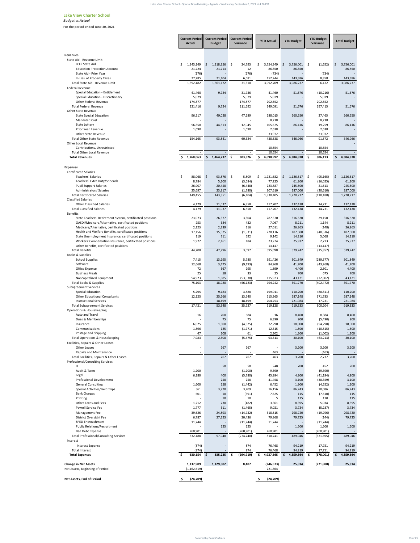| <b>Actual</b><br><b>Budget</b><br>Variance<br>Variance<br><b>Revenues</b><br>State Aid - Revenue Limit<br><b>LCFF State Aid</b><br>1,343,149<br>$1,318,356$ \$<br>\$.<br>- \$<br>24,793<br>3,754,349<br>$3,756,001$ \$<br>(1,652)<br>S.<br>$\sim$<br>\$<br><b>Education Protection Account</b><br>21,724<br>21,713<br>12<br>86,850<br>86,850<br>86,850<br>(176)<br>(734)<br>State Aid - Prior Year<br>(176)<br>(734)<br>In Lieu of Property Taxes<br>27,785<br>21,104<br>6,681<br>152,244<br>143,386<br>8,858<br>143,386<br>Total State Aid - Revenue Limit<br>1,392,482<br>1,361,172<br>3,992,709<br>6,472<br>31,310<br>3,986,237<br><b>Federal Revenue</b><br>9,724<br>51,676<br>Special Education - Entitlement<br>41,460<br>31,736<br>(10, 216)<br>51,676<br>41,460<br>Special Education - Discretionary<br>5,079<br>5,079<br>5,079<br>5,079<br>Other Federal Revenue<br>174,877<br>174,877<br>202,552<br>202,552<br><b>Total Federal Revenue</b><br>9,724<br>211,692<br>197,415<br>221,416<br>249,091<br>51,676<br><b>Other State Revenue</b><br><b>State Special Education</b><br>96,217<br>49,028<br>47,189<br>260,550<br>27,465<br>288,015<br><b>Mandated Cost</b><br>8,238<br>8,238<br>$\overline{\phantom{a}}$<br>56,858<br>44,813<br>105,675<br>86,416<br>86,416<br><b>State Lottery</b><br>12,045<br>19,259<br><b>Prior Year Revenue</b><br>1,090<br>1,090<br>2,638<br>2,638<br><b>Other State Revenue</b><br>33,972<br>33,972<br><b>Total Other State Revenue</b><br>60,324<br>346,966<br>91,572<br>154,165<br>93,841<br>438,538<br><b>Other Local Revenue</b><br>Contributions, Unrestricted<br>10,654<br>10,654<br>$\overline{\phantom{a}}$<br>10,654<br>10,654<br><b>Total Other Local Revenue</b><br>$\overline{\phantom{a}}$<br>1,768,063<br>303,326<br><b>Total Revenues</b><br>\$<br>$1,464,737$ \$<br>Š.<br>4,690,992<br>S.<br>4,384,878<br>306,113<br>\$<br>4,384,878<br><b>Expenses</b><br><b>Certificated Salaries</b><br><b>Teachers' Salaries</b><br>93,876 \$<br>\$<br>88,068<br>- \$<br>5,809<br>1,221,682<br>$\zeta$<br>$1,126,517$ \$<br>(95, 165)<br>\$<br>\$<br>Teachers' Extra Duty/Stipends<br>8,784<br>5,100<br>(3,684)<br>77,225<br>61,200<br>(16, 025)<br>61,200<br><b>Pupil Support Salaries</b><br>26,907<br>20,458<br>(6, 448)<br>223,887<br>245,500<br>21,613<br><b>Administrators' Salaries</b><br>23,917<br>307,610<br>287,000<br>25,697<br>(1,780)<br>(20, 610)<br><b>Total Certificated Salaries</b><br>143,351<br>(6, 104)<br>1,830,405<br>(110, 188)<br>149,455<br>1,720,217<br><b>Classified Salaries</b><br><b>Other Classified Salaries</b><br>4,179<br>11,037<br>6,858<br>117,707<br>132,438<br>14,731<br>132,438<br>4,179<br>117,707<br>14,731<br><b>Total Classified Salaries</b><br>11,037<br>6,858<br>132,438<br><b>Benefits</b><br>State Teachers' Retirement System, certificated positions<br>23,073<br>26,377<br>3,304<br>287,370<br>316,520<br>29,150<br>OASDI/Medicare/Alternative, certificated positions<br>253<br>684<br>432<br>7,067<br>8,211<br>1,144<br>Medicare/Alternative, certificated positions<br>(148)<br>2,123<br>2,239<br>116<br>27,011<br>26,863<br>26,863<br>Health and Welfare Benefits, certificated positions<br>17,156<br>15,625<br>(1,531)<br>228,136<br>187,500<br>(40, 636)<br>State Unemployment Insurance, certificated positions<br>592<br>119<br>711<br>9,142<br>5,068<br>14,210<br>14,210<br>Workers' Compensation Insurance, certificated positions<br>1,977<br>2,161<br>184<br>23,224<br>25,937<br>2,713<br>Other Benefits, certificated positions<br>13,147<br>(13, 147)<br>47,796<br><b>Total Benefits</b><br>44,700<br>3,097<br>595,098<br>579,242<br>(15, 857)<br>Books & Supplies<br><b>School Supplies</b><br>5,780<br>7,415<br>13,195<br>591,426<br>301,849<br>(289, 577)<br>301,849<br>Software<br>12,668<br>3,475<br>(9, 193)<br>84,968<br>(43, 268)<br>41,700<br>Office Expense<br>72<br>367<br>2,501<br>295<br>1,899<br>4,400<br>4,400<br>25<br>33<br><b>Business Meals</b><br>58<br>25<br>675<br>700<br>54,923<br>1,885<br>(53,038)<br>(72, 802)<br>Noncapitalized Equipment<br>115,923<br>43,121<br><b>Total Books &amp; Supplies</b><br>75,103<br>18,980<br>(56, 123)<br>794,242<br>391,770<br>(402, 472)<br>391,770<br><b>Subagreement Services</b><br>5,295<br>9,183<br>3,888<br>(88, 811)<br>110,200<br><b>Special Education</b><br>199,011<br>110,200<br><b>Other Educational Consultants</b><br>12,125<br>25,666<br>13,540<br>215,365<br>587,148<br>371,783<br><b>Instructional Services</b><br>18,499<br>18,499<br>204,753<br>221,984<br>17,231<br>619,128<br>300,204<br><b>Total Subagreement Services</b><br>17,421<br>53,348<br>35,927<br>919,333<br>Operations & Housekeeping<br>Auto and Travel<br>16<br>700<br>684<br>8,400<br>16<br>8,400<br>8,384<br>Dues & Memberships<br>75<br>(5,490)<br>75<br>6,390<br>900<br>6,025<br>(4, 525)<br>18,000<br>Insurance<br>1,500<br>72,290<br>18,000<br>(54, 290)<br>Communications<br>(1,771)<br>1,896<br>125<br>12,315<br>1,500<br>(10, 815)<br>Postage and Shipping<br>47<br>108<br>61<br>(1,002)<br>2,302<br>1,300<br>(5, 475)<br>7,983<br>2,508<br>93,313<br>(63, 213)<br>30,100<br><b>Total Operations &amp; Housekeeping</b><br>30,100<br>Facilities, Repairs & Other Leases<br>Other Leases<br>267<br>3,200<br>267<br>3,200<br>3,200<br>$\sim$<br>$\overline{\phantom{a}}$<br>Repairs and Maintenance<br>463<br>(463)<br>$\sim$<br>$\sim$<br>$\sim$<br>267<br>267<br>463<br>2,737<br>Total Facilities, Repairs & Other Leases<br>3,200<br>$\overline{\phantom{a}}$<br>Professional/Consulting Services<br>IT<br>58<br>58<br>452<br>248<br>700<br>$\overline{\phantom{a}}$<br>Audit & Taxes<br>1,200<br>(1,200)<br>(9,390)<br>9,390<br>$\overline{\phantom{a}}$<br>Legal<br>6,180<br>400<br>(5,780)<br>45,994<br>4,800<br>(41, 194)<br>258<br>258<br>3,100<br>Professional Development<br>41,458<br>3,100<br>(38, 359)<br>$\overline{\phantom{a}}$<br>(4, 552)<br><b>General Consulting</b><br>1,600<br>158<br>(1, 442)<br>6,452<br>1,900<br>Special Activities/Field Trips<br>561<br>3,770<br>3,209<br>70,086<br>16,156<br>86,243<br>601<br><b>Bank Charges</b><br>(591)<br>7,625<br>115<br>(7,510)<br>10<br>5<br>Printing<br>10<br>115<br>110<br>10<br>$\overline{\phantom{a}}$<br>Other Taxes and Fees<br>1,212<br>730<br>(482)<br>3,361<br>8,395<br>5,034<br>8,395<br>Payroll Service Fee<br>1,777<br>9,021<br>3,734<br>311<br>(1, 465)<br>(5, 287)<br>Management Fee<br>39,626<br>24,893<br>(14, 732)<br>318,515<br>298,720<br>(19, 796)<br>District Oversight Fee<br>6,787<br>79,725<br>27,223<br>20,436<br>79,868<br>79,725<br>(144)<br>SPED Encroachment<br>11,744<br>11,744<br>(11, 744)<br>(11, 744)<br><b>Public Relations/Recruitment</b><br>125<br>125<br>1,500<br>1,500<br>1,500<br>$\overline{\phantom{a}}$<br><b>Bad Debt Expense</b><br>260,901<br>(260, 901)<br>260,901<br>(260, 901)<br>$\sim$<br>$\blacksquare$<br><b>Total Professional/Consulting Services</b><br>332,188<br>57,948<br>(274, 240)<br>810,741<br>489,046<br>(321, 695)<br>Interest<br>(874)<br>Interest Expense<br>874<br>76,468<br>94,219<br>17,751<br>(874)<br>874<br>94,219<br><b>Total Interest</b><br>76,468<br>17,751<br>94,219<br><b>Total Expenses</b><br>335,235<br>(294, 919)<br>\$<br>4,359,564<br>\$<br>630,154<br>\$<br>4,937,565<br>$\mathsf{\$}$<br>(578,001)<br>8,407<br>(271, 888)<br><b>Change in Net Assets</b><br>1,137,909<br>1,129,502<br>(246, 573)<br>25,314<br>Net Assets, Beginning of Period<br>(1, 162, 619)<br>221,864 |                           | <b>Current Period</b> | <b>Current Period   Current Period</b> | <b>YTD Actual</b> | <b>YTD Budget</b> | <b>YTD Budget</b> | <b>Total Budget</b>  |
|------------------------------------------------------------------------------------------------------------------------------------------------------------------------------------------------------------------------------------------------------------------------------------------------------------------------------------------------------------------------------------------------------------------------------------------------------------------------------------------------------------------------------------------------------------------------------------------------------------------------------------------------------------------------------------------------------------------------------------------------------------------------------------------------------------------------------------------------------------------------------------------------------------------------------------------------------------------------------------------------------------------------------------------------------------------------------------------------------------------------------------------------------------------------------------------------------------------------------------------------------------------------------------------------------------------------------------------------------------------------------------------------------------------------------------------------------------------------------------------------------------------------------------------------------------------------------------------------------------------------------------------------------------------------------------------------------------------------------------------------------------------------------------------------------------------------------------------------------------------------------------------------------------------------------------------------------------------------------------------------------------------------------------------------------------------------------------------------------------------------------------------------------------------------------------------------------------------------------------------------------------------------------------------------------------------------------------------------------------------------------------------------------------------------------------------------------------------------------------------------------------------------------------------------------------------------------------------------------------------------------------------------------------------------------------------------------------------------------------------------------------------------------------------------------------------------------------------------------------------------------------------------------------------------------------------------------------------------------------------------------------------------------------------------------------------------------------------------------------------------------------------------------------------------------------------------------------------------------------------------------------------------------------------------------------------------------------------------------------------------------------------------------------------------------------------------------------------------------------------------------------------------------------------------------------------------------------------------------------------------------------------------------------------------------------------------------------------------------------------------------------------------------------------------------------------------------------------------------------------------------------------------------------------------------------------------------------------------------------------------------------------------------------------------------------------------------------------------------------------------------------------------------------------------------------------------------------------------------------------------------------------------------------------------------------------------------------------------------------------------------------------------------------------------------------------------------------------------------------------------------------------------------------------------------------------------------------------------------------------------------------------------------------------------------------------------------------------------------------------------------------------------------------------------------------------------------------------------------------------------------------------------------------------------------------------------------------------------------------------------------------------------------------------------------------------------------------------------------------------------------------------------------------------------------------------------------------------------------------------------------------------------------------------------------------------------------------------------------------------------------------------------------------------------------------------------------------------------------------------------------------------------------------------------------------------------------------------------------------------------------------------------------------------------------------------------------------------------------------------------------------------------------------------------------------------------------------------------------------------------------------------------------------------------------------------------------------------------------------------------------------------------------------------------------------------------------------------------------------------------------------------------------------------------------------------------------------------------------------------------------------------------------------------------------------------------------------------------------------------------------------------------------------------------------------------------------------------------------------------------------------------------------------------------------------------------------------------------------------------------------------------------------------------------------------------------------------------------------------------------------------------------------------------------------------------------------------------------------------------------------------------------------------------------------------------------------------------------------------------------------------------------------------------------------------------------------------------------------------------------------------------------------------------------------------------------------------------------------------------------------------------------------------------------------------------------------------------------------------------------------------------------------------------------------------------------------------------------------------------------------------|---------------------------|-----------------------|----------------------------------------|-------------------|-------------------|-------------------|----------------------|
|                                                                                                                                                                                                                                                                                                                                                                                                                                                                                                                                                                                                                                                                                                                                                                                                                                                                                                                                                                                                                                                                                                                                                                                                                                                                                                                                                                                                                                                                                                                                                                                                                                                                                                                                                                                                                                                                                                                                                                                                                                                                                                                                                                                                                                                                                                                                                                                                                                                                                                                                                                                                                                                                                                                                                                                                                                                                                                                                                                                                                                                                                                                                                                                                                                                                                                                                                                                                                                                                                                                                                                                                                                                                                                                                                                                                                                                                                                                                                                                                                                                                                                                                                                                                                                                                                                                                                                                                                                                                                                                                                                                                                                                                                                                                                                                                                                                                                                                                                                                                                                                                                                                                                                                                                                                                                                                                                                                                                                                                                                                                                                                                                                                                                                                                                                                                                                                                                                                                                                                                                                                                                                                                                                                                                                                                                                                                                                                                                                                                                                                                                                                                                                                                                                                                                                                                                                                                                                                                                                                                                                                                                                                                                                                                                                                                                                                                                                                                                                                                                                            |                           |                       |                                        |                   |                   |                   |                      |
|                                                                                                                                                                                                                                                                                                                                                                                                                                                                                                                                                                                                                                                                                                                                                                                                                                                                                                                                                                                                                                                                                                                                                                                                                                                                                                                                                                                                                                                                                                                                                                                                                                                                                                                                                                                                                                                                                                                                                                                                                                                                                                                                                                                                                                                                                                                                                                                                                                                                                                                                                                                                                                                                                                                                                                                                                                                                                                                                                                                                                                                                                                                                                                                                                                                                                                                                                                                                                                                                                                                                                                                                                                                                                                                                                                                                                                                                                                                                                                                                                                                                                                                                                                                                                                                                                                                                                                                                                                                                                                                                                                                                                                                                                                                                                                                                                                                                                                                                                                                                                                                                                                                                                                                                                                                                                                                                                                                                                                                                                                                                                                                                                                                                                                                                                                                                                                                                                                                                                                                                                                                                                                                                                                                                                                                                                                                                                                                                                                                                                                                                                                                                                                                                                                                                                                                                                                                                                                                                                                                                                                                                                                                                                                                                                                                                                                                                                                                                                                                                                                            |                           |                       |                                        |                   |                   |                   |                      |
|                                                                                                                                                                                                                                                                                                                                                                                                                                                                                                                                                                                                                                                                                                                                                                                                                                                                                                                                                                                                                                                                                                                                                                                                                                                                                                                                                                                                                                                                                                                                                                                                                                                                                                                                                                                                                                                                                                                                                                                                                                                                                                                                                                                                                                                                                                                                                                                                                                                                                                                                                                                                                                                                                                                                                                                                                                                                                                                                                                                                                                                                                                                                                                                                                                                                                                                                                                                                                                                                                                                                                                                                                                                                                                                                                                                                                                                                                                                                                                                                                                                                                                                                                                                                                                                                                                                                                                                                                                                                                                                                                                                                                                                                                                                                                                                                                                                                                                                                                                                                                                                                                                                                                                                                                                                                                                                                                                                                                                                                                                                                                                                                                                                                                                                                                                                                                                                                                                                                                                                                                                                                                                                                                                                                                                                                                                                                                                                                                                                                                                                                                                                                                                                                                                                                                                                                                                                                                                                                                                                                                                                                                                                                                                                                                                                                                                                                                                                                                                                                                                            |                           |                       |                                        |                   |                   |                   | 3,756,001            |
|                                                                                                                                                                                                                                                                                                                                                                                                                                                                                                                                                                                                                                                                                                                                                                                                                                                                                                                                                                                                                                                                                                                                                                                                                                                                                                                                                                                                                                                                                                                                                                                                                                                                                                                                                                                                                                                                                                                                                                                                                                                                                                                                                                                                                                                                                                                                                                                                                                                                                                                                                                                                                                                                                                                                                                                                                                                                                                                                                                                                                                                                                                                                                                                                                                                                                                                                                                                                                                                                                                                                                                                                                                                                                                                                                                                                                                                                                                                                                                                                                                                                                                                                                                                                                                                                                                                                                                                                                                                                                                                                                                                                                                                                                                                                                                                                                                                                                                                                                                                                                                                                                                                                                                                                                                                                                                                                                                                                                                                                                                                                                                                                                                                                                                                                                                                                                                                                                                                                                                                                                                                                                                                                                                                                                                                                                                                                                                                                                                                                                                                                                                                                                                                                                                                                                                                                                                                                                                                                                                                                                                                                                                                                                                                                                                                                                                                                                                                                                                                                                                            |                           |                       |                                        |                   |                   |                   |                      |
|                                                                                                                                                                                                                                                                                                                                                                                                                                                                                                                                                                                                                                                                                                                                                                                                                                                                                                                                                                                                                                                                                                                                                                                                                                                                                                                                                                                                                                                                                                                                                                                                                                                                                                                                                                                                                                                                                                                                                                                                                                                                                                                                                                                                                                                                                                                                                                                                                                                                                                                                                                                                                                                                                                                                                                                                                                                                                                                                                                                                                                                                                                                                                                                                                                                                                                                                                                                                                                                                                                                                                                                                                                                                                                                                                                                                                                                                                                                                                                                                                                                                                                                                                                                                                                                                                                                                                                                                                                                                                                                                                                                                                                                                                                                                                                                                                                                                                                                                                                                                                                                                                                                                                                                                                                                                                                                                                                                                                                                                                                                                                                                                                                                                                                                                                                                                                                                                                                                                                                                                                                                                                                                                                                                                                                                                                                                                                                                                                                                                                                                                                                                                                                                                                                                                                                                                                                                                                                                                                                                                                                                                                                                                                                                                                                                                                                                                                                                                                                                                                                            |                           |                       |                                        |                   |                   |                   | 3,986,237            |
|                                                                                                                                                                                                                                                                                                                                                                                                                                                                                                                                                                                                                                                                                                                                                                                                                                                                                                                                                                                                                                                                                                                                                                                                                                                                                                                                                                                                                                                                                                                                                                                                                                                                                                                                                                                                                                                                                                                                                                                                                                                                                                                                                                                                                                                                                                                                                                                                                                                                                                                                                                                                                                                                                                                                                                                                                                                                                                                                                                                                                                                                                                                                                                                                                                                                                                                                                                                                                                                                                                                                                                                                                                                                                                                                                                                                                                                                                                                                                                                                                                                                                                                                                                                                                                                                                                                                                                                                                                                                                                                                                                                                                                                                                                                                                                                                                                                                                                                                                                                                                                                                                                                                                                                                                                                                                                                                                                                                                                                                                                                                                                                                                                                                                                                                                                                                                                                                                                                                                                                                                                                                                                                                                                                                                                                                                                                                                                                                                                                                                                                                                                                                                                                                                                                                                                                                                                                                                                                                                                                                                                                                                                                                                                                                                                                                                                                                                                                                                                                                                                            |                           |                       |                                        |                   |                   |                   |                      |
|                                                                                                                                                                                                                                                                                                                                                                                                                                                                                                                                                                                                                                                                                                                                                                                                                                                                                                                                                                                                                                                                                                                                                                                                                                                                                                                                                                                                                                                                                                                                                                                                                                                                                                                                                                                                                                                                                                                                                                                                                                                                                                                                                                                                                                                                                                                                                                                                                                                                                                                                                                                                                                                                                                                                                                                                                                                                                                                                                                                                                                                                                                                                                                                                                                                                                                                                                                                                                                                                                                                                                                                                                                                                                                                                                                                                                                                                                                                                                                                                                                                                                                                                                                                                                                                                                                                                                                                                                                                                                                                                                                                                                                                                                                                                                                                                                                                                                                                                                                                                                                                                                                                                                                                                                                                                                                                                                                                                                                                                                                                                                                                                                                                                                                                                                                                                                                                                                                                                                                                                                                                                                                                                                                                                                                                                                                                                                                                                                                                                                                                                                                                                                                                                                                                                                                                                                                                                                                                                                                                                                                                                                                                                                                                                                                                                                                                                                                                                                                                                                                            |                           |                       |                                        |                   |                   |                   |                      |
|                                                                                                                                                                                                                                                                                                                                                                                                                                                                                                                                                                                                                                                                                                                                                                                                                                                                                                                                                                                                                                                                                                                                                                                                                                                                                                                                                                                                                                                                                                                                                                                                                                                                                                                                                                                                                                                                                                                                                                                                                                                                                                                                                                                                                                                                                                                                                                                                                                                                                                                                                                                                                                                                                                                                                                                                                                                                                                                                                                                                                                                                                                                                                                                                                                                                                                                                                                                                                                                                                                                                                                                                                                                                                                                                                                                                                                                                                                                                                                                                                                                                                                                                                                                                                                                                                                                                                                                                                                                                                                                                                                                                                                                                                                                                                                                                                                                                                                                                                                                                                                                                                                                                                                                                                                                                                                                                                                                                                                                                                                                                                                                                                                                                                                                                                                                                                                                                                                                                                                                                                                                                                                                                                                                                                                                                                                                                                                                                                                                                                                                                                                                                                                                                                                                                                                                                                                                                                                                                                                                                                                                                                                                                                                                                                                                                                                                                                                                                                                                                                                            |                           |                       |                                        |                   |                   |                   | 51,676               |
|                                                                                                                                                                                                                                                                                                                                                                                                                                                                                                                                                                                                                                                                                                                                                                                                                                                                                                                                                                                                                                                                                                                                                                                                                                                                                                                                                                                                                                                                                                                                                                                                                                                                                                                                                                                                                                                                                                                                                                                                                                                                                                                                                                                                                                                                                                                                                                                                                                                                                                                                                                                                                                                                                                                                                                                                                                                                                                                                                                                                                                                                                                                                                                                                                                                                                                                                                                                                                                                                                                                                                                                                                                                                                                                                                                                                                                                                                                                                                                                                                                                                                                                                                                                                                                                                                                                                                                                                                                                                                                                                                                                                                                                                                                                                                                                                                                                                                                                                                                                                                                                                                                                                                                                                                                                                                                                                                                                                                                                                                                                                                                                                                                                                                                                                                                                                                                                                                                                                                                                                                                                                                                                                                                                                                                                                                                                                                                                                                                                                                                                                                                                                                                                                                                                                                                                                                                                                                                                                                                                                                                                                                                                                                                                                                                                                                                                                                                                                                                                                                                            |                           |                       |                                        |                   |                   |                   | 260,550              |
|                                                                                                                                                                                                                                                                                                                                                                                                                                                                                                                                                                                                                                                                                                                                                                                                                                                                                                                                                                                                                                                                                                                                                                                                                                                                                                                                                                                                                                                                                                                                                                                                                                                                                                                                                                                                                                                                                                                                                                                                                                                                                                                                                                                                                                                                                                                                                                                                                                                                                                                                                                                                                                                                                                                                                                                                                                                                                                                                                                                                                                                                                                                                                                                                                                                                                                                                                                                                                                                                                                                                                                                                                                                                                                                                                                                                                                                                                                                                                                                                                                                                                                                                                                                                                                                                                                                                                                                                                                                                                                                                                                                                                                                                                                                                                                                                                                                                                                                                                                                                                                                                                                                                                                                                                                                                                                                                                                                                                                                                                                                                                                                                                                                                                                                                                                                                                                                                                                                                                                                                                                                                                                                                                                                                                                                                                                                                                                                                                                                                                                                                                                                                                                                                                                                                                                                                                                                                                                                                                                                                                                                                                                                                                                                                                                                                                                                                                                                                                                                                                                            |                           |                       |                                        |                   |                   |                   |                      |
|                                                                                                                                                                                                                                                                                                                                                                                                                                                                                                                                                                                                                                                                                                                                                                                                                                                                                                                                                                                                                                                                                                                                                                                                                                                                                                                                                                                                                                                                                                                                                                                                                                                                                                                                                                                                                                                                                                                                                                                                                                                                                                                                                                                                                                                                                                                                                                                                                                                                                                                                                                                                                                                                                                                                                                                                                                                                                                                                                                                                                                                                                                                                                                                                                                                                                                                                                                                                                                                                                                                                                                                                                                                                                                                                                                                                                                                                                                                                                                                                                                                                                                                                                                                                                                                                                                                                                                                                                                                                                                                                                                                                                                                                                                                                                                                                                                                                                                                                                                                                                                                                                                                                                                                                                                                                                                                                                                                                                                                                                                                                                                                                                                                                                                                                                                                                                                                                                                                                                                                                                                                                                                                                                                                                                                                                                                                                                                                                                                                                                                                                                                                                                                                                                                                                                                                                                                                                                                                                                                                                                                                                                                                                                                                                                                                                                                                                                                                                                                                                                                            |                           |                       |                                        |                   |                   |                   |                      |
|                                                                                                                                                                                                                                                                                                                                                                                                                                                                                                                                                                                                                                                                                                                                                                                                                                                                                                                                                                                                                                                                                                                                                                                                                                                                                                                                                                                                                                                                                                                                                                                                                                                                                                                                                                                                                                                                                                                                                                                                                                                                                                                                                                                                                                                                                                                                                                                                                                                                                                                                                                                                                                                                                                                                                                                                                                                                                                                                                                                                                                                                                                                                                                                                                                                                                                                                                                                                                                                                                                                                                                                                                                                                                                                                                                                                                                                                                                                                                                                                                                                                                                                                                                                                                                                                                                                                                                                                                                                                                                                                                                                                                                                                                                                                                                                                                                                                                                                                                                                                                                                                                                                                                                                                                                                                                                                                                                                                                                                                                                                                                                                                                                                                                                                                                                                                                                                                                                                                                                                                                                                                                                                                                                                                                                                                                                                                                                                                                                                                                                                                                                                                                                                                                                                                                                                                                                                                                                                                                                                                                                                                                                                                                                                                                                                                                                                                                                                                                                                                                                            |                           |                       |                                        |                   |                   |                   | 346,966              |
|                                                                                                                                                                                                                                                                                                                                                                                                                                                                                                                                                                                                                                                                                                                                                                                                                                                                                                                                                                                                                                                                                                                                                                                                                                                                                                                                                                                                                                                                                                                                                                                                                                                                                                                                                                                                                                                                                                                                                                                                                                                                                                                                                                                                                                                                                                                                                                                                                                                                                                                                                                                                                                                                                                                                                                                                                                                                                                                                                                                                                                                                                                                                                                                                                                                                                                                                                                                                                                                                                                                                                                                                                                                                                                                                                                                                                                                                                                                                                                                                                                                                                                                                                                                                                                                                                                                                                                                                                                                                                                                                                                                                                                                                                                                                                                                                                                                                                                                                                                                                                                                                                                                                                                                                                                                                                                                                                                                                                                                                                                                                                                                                                                                                                                                                                                                                                                                                                                                                                                                                                                                                                                                                                                                                                                                                                                                                                                                                                                                                                                                                                                                                                                                                                                                                                                                                                                                                                                                                                                                                                                                                                                                                                                                                                                                                                                                                                                                                                                                                                                            |                           |                       |                                        |                   |                   |                   |                      |
|                                                                                                                                                                                                                                                                                                                                                                                                                                                                                                                                                                                                                                                                                                                                                                                                                                                                                                                                                                                                                                                                                                                                                                                                                                                                                                                                                                                                                                                                                                                                                                                                                                                                                                                                                                                                                                                                                                                                                                                                                                                                                                                                                                                                                                                                                                                                                                                                                                                                                                                                                                                                                                                                                                                                                                                                                                                                                                                                                                                                                                                                                                                                                                                                                                                                                                                                                                                                                                                                                                                                                                                                                                                                                                                                                                                                                                                                                                                                                                                                                                                                                                                                                                                                                                                                                                                                                                                                                                                                                                                                                                                                                                                                                                                                                                                                                                                                                                                                                                                                                                                                                                                                                                                                                                                                                                                                                                                                                                                                                                                                                                                                                                                                                                                                                                                                                                                                                                                                                                                                                                                                                                                                                                                                                                                                                                                                                                                                                                                                                                                                                                                                                                                                                                                                                                                                                                                                                                                                                                                                                                                                                                                                                                                                                                                                                                                                                                                                                                                                                                            |                           |                       |                                        |                   |                   |                   |                      |
|                                                                                                                                                                                                                                                                                                                                                                                                                                                                                                                                                                                                                                                                                                                                                                                                                                                                                                                                                                                                                                                                                                                                                                                                                                                                                                                                                                                                                                                                                                                                                                                                                                                                                                                                                                                                                                                                                                                                                                                                                                                                                                                                                                                                                                                                                                                                                                                                                                                                                                                                                                                                                                                                                                                                                                                                                                                                                                                                                                                                                                                                                                                                                                                                                                                                                                                                                                                                                                                                                                                                                                                                                                                                                                                                                                                                                                                                                                                                                                                                                                                                                                                                                                                                                                                                                                                                                                                                                                                                                                                                                                                                                                                                                                                                                                                                                                                                                                                                                                                                                                                                                                                                                                                                                                                                                                                                                                                                                                                                                                                                                                                                                                                                                                                                                                                                                                                                                                                                                                                                                                                                                                                                                                                                                                                                                                                                                                                                                                                                                                                                                                                                                                                                                                                                                                                                                                                                                                                                                                                                                                                                                                                                                                                                                                                                                                                                                                                                                                                                                                            |                           |                       |                                        |                   |                   |                   |                      |
|                                                                                                                                                                                                                                                                                                                                                                                                                                                                                                                                                                                                                                                                                                                                                                                                                                                                                                                                                                                                                                                                                                                                                                                                                                                                                                                                                                                                                                                                                                                                                                                                                                                                                                                                                                                                                                                                                                                                                                                                                                                                                                                                                                                                                                                                                                                                                                                                                                                                                                                                                                                                                                                                                                                                                                                                                                                                                                                                                                                                                                                                                                                                                                                                                                                                                                                                                                                                                                                                                                                                                                                                                                                                                                                                                                                                                                                                                                                                                                                                                                                                                                                                                                                                                                                                                                                                                                                                                                                                                                                                                                                                                                                                                                                                                                                                                                                                                                                                                                                                                                                                                                                                                                                                                                                                                                                                                                                                                                                                                                                                                                                                                                                                                                                                                                                                                                                                                                                                                                                                                                                                                                                                                                                                                                                                                                                                                                                                                                                                                                                                                                                                                                                                                                                                                                                                                                                                                                                                                                                                                                                                                                                                                                                                                                                                                                                                                                                                                                                                                                            |                           |                       |                                        |                   |                   |                   |                      |
|                                                                                                                                                                                                                                                                                                                                                                                                                                                                                                                                                                                                                                                                                                                                                                                                                                                                                                                                                                                                                                                                                                                                                                                                                                                                                                                                                                                                                                                                                                                                                                                                                                                                                                                                                                                                                                                                                                                                                                                                                                                                                                                                                                                                                                                                                                                                                                                                                                                                                                                                                                                                                                                                                                                                                                                                                                                                                                                                                                                                                                                                                                                                                                                                                                                                                                                                                                                                                                                                                                                                                                                                                                                                                                                                                                                                                                                                                                                                                                                                                                                                                                                                                                                                                                                                                                                                                                                                                                                                                                                                                                                                                                                                                                                                                                                                                                                                                                                                                                                                                                                                                                                                                                                                                                                                                                                                                                                                                                                                                                                                                                                                                                                                                                                                                                                                                                                                                                                                                                                                                                                                                                                                                                                                                                                                                                                                                                                                                                                                                                                                                                                                                                                                                                                                                                                                                                                                                                                                                                                                                                                                                                                                                                                                                                                                                                                                                                                                                                                                                                            |                           |                       |                                        |                   |                   |                   | 1,126,517            |
|                                                                                                                                                                                                                                                                                                                                                                                                                                                                                                                                                                                                                                                                                                                                                                                                                                                                                                                                                                                                                                                                                                                                                                                                                                                                                                                                                                                                                                                                                                                                                                                                                                                                                                                                                                                                                                                                                                                                                                                                                                                                                                                                                                                                                                                                                                                                                                                                                                                                                                                                                                                                                                                                                                                                                                                                                                                                                                                                                                                                                                                                                                                                                                                                                                                                                                                                                                                                                                                                                                                                                                                                                                                                                                                                                                                                                                                                                                                                                                                                                                                                                                                                                                                                                                                                                                                                                                                                                                                                                                                                                                                                                                                                                                                                                                                                                                                                                                                                                                                                                                                                                                                                                                                                                                                                                                                                                                                                                                                                                                                                                                                                                                                                                                                                                                                                                                                                                                                                                                                                                                                                                                                                                                                                                                                                                                                                                                                                                                                                                                                                                                                                                                                                                                                                                                                                                                                                                                                                                                                                                                                                                                                                                                                                                                                                                                                                                                                                                                                                                                            |                           |                       |                                        |                   |                   |                   | 245,500              |
|                                                                                                                                                                                                                                                                                                                                                                                                                                                                                                                                                                                                                                                                                                                                                                                                                                                                                                                                                                                                                                                                                                                                                                                                                                                                                                                                                                                                                                                                                                                                                                                                                                                                                                                                                                                                                                                                                                                                                                                                                                                                                                                                                                                                                                                                                                                                                                                                                                                                                                                                                                                                                                                                                                                                                                                                                                                                                                                                                                                                                                                                                                                                                                                                                                                                                                                                                                                                                                                                                                                                                                                                                                                                                                                                                                                                                                                                                                                                                                                                                                                                                                                                                                                                                                                                                                                                                                                                                                                                                                                                                                                                                                                                                                                                                                                                                                                                                                                                                                                                                                                                                                                                                                                                                                                                                                                                                                                                                                                                                                                                                                                                                                                                                                                                                                                                                                                                                                                                                                                                                                                                                                                                                                                                                                                                                                                                                                                                                                                                                                                                                                                                                                                                                                                                                                                                                                                                                                                                                                                                                                                                                                                                                                                                                                                                                                                                                                                                                                                                                                            |                           |                       |                                        |                   |                   |                   | 287,000<br>1,720,217 |
|                                                                                                                                                                                                                                                                                                                                                                                                                                                                                                                                                                                                                                                                                                                                                                                                                                                                                                                                                                                                                                                                                                                                                                                                                                                                                                                                                                                                                                                                                                                                                                                                                                                                                                                                                                                                                                                                                                                                                                                                                                                                                                                                                                                                                                                                                                                                                                                                                                                                                                                                                                                                                                                                                                                                                                                                                                                                                                                                                                                                                                                                                                                                                                                                                                                                                                                                                                                                                                                                                                                                                                                                                                                                                                                                                                                                                                                                                                                                                                                                                                                                                                                                                                                                                                                                                                                                                                                                                                                                                                                                                                                                                                                                                                                                                                                                                                                                                                                                                                                                                                                                                                                                                                                                                                                                                                                                                                                                                                                                                                                                                                                                                                                                                                                                                                                                                                                                                                                                                                                                                                                                                                                                                                                                                                                                                                                                                                                                                                                                                                                                                                                                                                                                                                                                                                                                                                                                                                                                                                                                                                                                                                                                                                                                                                                                                                                                                                                                                                                                                                            |                           |                       |                                        |                   |                   |                   |                      |
|                                                                                                                                                                                                                                                                                                                                                                                                                                                                                                                                                                                                                                                                                                                                                                                                                                                                                                                                                                                                                                                                                                                                                                                                                                                                                                                                                                                                                                                                                                                                                                                                                                                                                                                                                                                                                                                                                                                                                                                                                                                                                                                                                                                                                                                                                                                                                                                                                                                                                                                                                                                                                                                                                                                                                                                                                                                                                                                                                                                                                                                                                                                                                                                                                                                                                                                                                                                                                                                                                                                                                                                                                                                                                                                                                                                                                                                                                                                                                                                                                                                                                                                                                                                                                                                                                                                                                                                                                                                                                                                                                                                                                                                                                                                                                                                                                                                                                                                                                                                                                                                                                                                                                                                                                                                                                                                                                                                                                                                                                                                                                                                                                                                                                                                                                                                                                                                                                                                                                                                                                                                                                                                                                                                                                                                                                                                                                                                                                                                                                                                                                                                                                                                                                                                                                                                                                                                                                                                                                                                                                                                                                                                                                                                                                                                                                                                                                                                                                                                                                                            |                           |                       |                                        |                   |                   |                   | 132,438              |
|                                                                                                                                                                                                                                                                                                                                                                                                                                                                                                                                                                                                                                                                                                                                                                                                                                                                                                                                                                                                                                                                                                                                                                                                                                                                                                                                                                                                                                                                                                                                                                                                                                                                                                                                                                                                                                                                                                                                                                                                                                                                                                                                                                                                                                                                                                                                                                                                                                                                                                                                                                                                                                                                                                                                                                                                                                                                                                                                                                                                                                                                                                                                                                                                                                                                                                                                                                                                                                                                                                                                                                                                                                                                                                                                                                                                                                                                                                                                                                                                                                                                                                                                                                                                                                                                                                                                                                                                                                                                                                                                                                                                                                                                                                                                                                                                                                                                                                                                                                                                                                                                                                                                                                                                                                                                                                                                                                                                                                                                                                                                                                                                                                                                                                                                                                                                                                                                                                                                                                                                                                                                                                                                                                                                                                                                                                                                                                                                                                                                                                                                                                                                                                                                                                                                                                                                                                                                                                                                                                                                                                                                                                                                                                                                                                                                                                                                                                                                                                                                                                            |                           |                       |                                        |                   |                   |                   | 316,520              |
|                                                                                                                                                                                                                                                                                                                                                                                                                                                                                                                                                                                                                                                                                                                                                                                                                                                                                                                                                                                                                                                                                                                                                                                                                                                                                                                                                                                                                                                                                                                                                                                                                                                                                                                                                                                                                                                                                                                                                                                                                                                                                                                                                                                                                                                                                                                                                                                                                                                                                                                                                                                                                                                                                                                                                                                                                                                                                                                                                                                                                                                                                                                                                                                                                                                                                                                                                                                                                                                                                                                                                                                                                                                                                                                                                                                                                                                                                                                                                                                                                                                                                                                                                                                                                                                                                                                                                                                                                                                                                                                                                                                                                                                                                                                                                                                                                                                                                                                                                                                                                                                                                                                                                                                                                                                                                                                                                                                                                                                                                                                                                                                                                                                                                                                                                                                                                                                                                                                                                                                                                                                                                                                                                                                                                                                                                                                                                                                                                                                                                                                                                                                                                                                                                                                                                                                                                                                                                                                                                                                                                                                                                                                                                                                                                                                                                                                                                                                                                                                                                                            |                           |                       |                                        |                   |                   |                   | 8,211                |
|                                                                                                                                                                                                                                                                                                                                                                                                                                                                                                                                                                                                                                                                                                                                                                                                                                                                                                                                                                                                                                                                                                                                                                                                                                                                                                                                                                                                                                                                                                                                                                                                                                                                                                                                                                                                                                                                                                                                                                                                                                                                                                                                                                                                                                                                                                                                                                                                                                                                                                                                                                                                                                                                                                                                                                                                                                                                                                                                                                                                                                                                                                                                                                                                                                                                                                                                                                                                                                                                                                                                                                                                                                                                                                                                                                                                                                                                                                                                                                                                                                                                                                                                                                                                                                                                                                                                                                                                                                                                                                                                                                                                                                                                                                                                                                                                                                                                                                                                                                                                                                                                                                                                                                                                                                                                                                                                                                                                                                                                                                                                                                                                                                                                                                                                                                                                                                                                                                                                                                                                                                                                                                                                                                                                                                                                                                                                                                                                                                                                                                                                                                                                                                                                                                                                                                                                                                                                                                                                                                                                                                                                                                                                                                                                                                                                                                                                                                                                                                                                                                            |                           |                       |                                        |                   |                   |                   | 187,500              |
|                                                                                                                                                                                                                                                                                                                                                                                                                                                                                                                                                                                                                                                                                                                                                                                                                                                                                                                                                                                                                                                                                                                                                                                                                                                                                                                                                                                                                                                                                                                                                                                                                                                                                                                                                                                                                                                                                                                                                                                                                                                                                                                                                                                                                                                                                                                                                                                                                                                                                                                                                                                                                                                                                                                                                                                                                                                                                                                                                                                                                                                                                                                                                                                                                                                                                                                                                                                                                                                                                                                                                                                                                                                                                                                                                                                                                                                                                                                                                                                                                                                                                                                                                                                                                                                                                                                                                                                                                                                                                                                                                                                                                                                                                                                                                                                                                                                                                                                                                                                                                                                                                                                                                                                                                                                                                                                                                                                                                                                                                                                                                                                                                                                                                                                                                                                                                                                                                                                                                                                                                                                                                                                                                                                                                                                                                                                                                                                                                                                                                                                                                                                                                                                                                                                                                                                                                                                                                                                                                                                                                                                                                                                                                                                                                                                                                                                                                                                                                                                                                                            |                           |                       |                                        |                   |                   |                   | 25,937               |
|                                                                                                                                                                                                                                                                                                                                                                                                                                                                                                                                                                                                                                                                                                                                                                                                                                                                                                                                                                                                                                                                                                                                                                                                                                                                                                                                                                                                                                                                                                                                                                                                                                                                                                                                                                                                                                                                                                                                                                                                                                                                                                                                                                                                                                                                                                                                                                                                                                                                                                                                                                                                                                                                                                                                                                                                                                                                                                                                                                                                                                                                                                                                                                                                                                                                                                                                                                                                                                                                                                                                                                                                                                                                                                                                                                                                                                                                                                                                                                                                                                                                                                                                                                                                                                                                                                                                                                                                                                                                                                                                                                                                                                                                                                                                                                                                                                                                                                                                                                                                                                                                                                                                                                                                                                                                                                                                                                                                                                                                                                                                                                                                                                                                                                                                                                                                                                                                                                                                                                                                                                                                                                                                                                                                                                                                                                                                                                                                                                                                                                                                                                                                                                                                                                                                                                                                                                                                                                                                                                                                                                                                                                                                                                                                                                                                                                                                                                                                                                                                                                            |                           |                       |                                        |                   |                   |                   | 579,242              |
|                                                                                                                                                                                                                                                                                                                                                                                                                                                                                                                                                                                                                                                                                                                                                                                                                                                                                                                                                                                                                                                                                                                                                                                                                                                                                                                                                                                                                                                                                                                                                                                                                                                                                                                                                                                                                                                                                                                                                                                                                                                                                                                                                                                                                                                                                                                                                                                                                                                                                                                                                                                                                                                                                                                                                                                                                                                                                                                                                                                                                                                                                                                                                                                                                                                                                                                                                                                                                                                                                                                                                                                                                                                                                                                                                                                                                                                                                                                                                                                                                                                                                                                                                                                                                                                                                                                                                                                                                                                                                                                                                                                                                                                                                                                                                                                                                                                                                                                                                                                                                                                                                                                                                                                                                                                                                                                                                                                                                                                                                                                                                                                                                                                                                                                                                                                                                                                                                                                                                                                                                                                                                                                                                                                                                                                                                                                                                                                                                                                                                                                                                                                                                                                                                                                                                                                                                                                                                                                                                                                                                                                                                                                                                                                                                                                                                                                                                                                                                                                                                                            |                           |                       |                                        |                   |                   |                   |                      |
|                                                                                                                                                                                                                                                                                                                                                                                                                                                                                                                                                                                                                                                                                                                                                                                                                                                                                                                                                                                                                                                                                                                                                                                                                                                                                                                                                                                                                                                                                                                                                                                                                                                                                                                                                                                                                                                                                                                                                                                                                                                                                                                                                                                                                                                                                                                                                                                                                                                                                                                                                                                                                                                                                                                                                                                                                                                                                                                                                                                                                                                                                                                                                                                                                                                                                                                                                                                                                                                                                                                                                                                                                                                                                                                                                                                                                                                                                                                                                                                                                                                                                                                                                                                                                                                                                                                                                                                                                                                                                                                                                                                                                                                                                                                                                                                                                                                                                                                                                                                                                                                                                                                                                                                                                                                                                                                                                                                                                                                                                                                                                                                                                                                                                                                                                                                                                                                                                                                                                                                                                                                                                                                                                                                                                                                                                                                                                                                                                                                                                                                                                                                                                                                                                                                                                                                                                                                                                                                                                                                                                                                                                                                                                                                                                                                                                                                                                                                                                                                                                                            |                           |                       |                                        |                   |                   |                   | 41,700               |
|                                                                                                                                                                                                                                                                                                                                                                                                                                                                                                                                                                                                                                                                                                                                                                                                                                                                                                                                                                                                                                                                                                                                                                                                                                                                                                                                                                                                                                                                                                                                                                                                                                                                                                                                                                                                                                                                                                                                                                                                                                                                                                                                                                                                                                                                                                                                                                                                                                                                                                                                                                                                                                                                                                                                                                                                                                                                                                                                                                                                                                                                                                                                                                                                                                                                                                                                                                                                                                                                                                                                                                                                                                                                                                                                                                                                                                                                                                                                                                                                                                                                                                                                                                                                                                                                                                                                                                                                                                                                                                                                                                                                                                                                                                                                                                                                                                                                                                                                                                                                                                                                                                                                                                                                                                                                                                                                                                                                                                                                                                                                                                                                                                                                                                                                                                                                                                                                                                                                                                                                                                                                                                                                                                                                                                                                                                                                                                                                                                                                                                                                                                                                                                                                                                                                                                                                                                                                                                                                                                                                                                                                                                                                                                                                                                                                                                                                                                                                                                                                                                            |                           |                       |                                        |                   |                   |                   | 700                  |
|                                                                                                                                                                                                                                                                                                                                                                                                                                                                                                                                                                                                                                                                                                                                                                                                                                                                                                                                                                                                                                                                                                                                                                                                                                                                                                                                                                                                                                                                                                                                                                                                                                                                                                                                                                                                                                                                                                                                                                                                                                                                                                                                                                                                                                                                                                                                                                                                                                                                                                                                                                                                                                                                                                                                                                                                                                                                                                                                                                                                                                                                                                                                                                                                                                                                                                                                                                                                                                                                                                                                                                                                                                                                                                                                                                                                                                                                                                                                                                                                                                                                                                                                                                                                                                                                                                                                                                                                                                                                                                                                                                                                                                                                                                                                                                                                                                                                                                                                                                                                                                                                                                                                                                                                                                                                                                                                                                                                                                                                                                                                                                                                                                                                                                                                                                                                                                                                                                                                                                                                                                                                                                                                                                                                                                                                                                                                                                                                                                                                                                                                                                                                                                                                                                                                                                                                                                                                                                                                                                                                                                                                                                                                                                                                                                                                                                                                                                                                                                                                                                            |                           |                       |                                        |                   |                   |                   | 43,121               |
|                                                                                                                                                                                                                                                                                                                                                                                                                                                                                                                                                                                                                                                                                                                                                                                                                                                                                                                                                                                                                                                                                                                                                                                                                                                                                                                                                                                                                                                                                                                                                                                                                                                                                                                                                                                                                                                                                                                                                                                                                                                                                                                                                                                                                                                                                                                                                                                                                                                                                                                                                                                                                                                                                                                                                                                                                                                                                                                                                                                                                                                                                                                                                                                                                                                                                                                                                                                                                                                                                                                                                                                                                                                                                                                                                                                                                                                                                                                                                                                                                                                                                                                                                                                                                                                                                                                                                                                                                                                                                                                                                                                                                                                                                                                                                                                                                                                                                                                                                                                                                                                                                                                                                                                                                                                                                                                                                                                                                                                                                                                                                                                                                                                                                                                                                                                                                                                                                                                                                                                                                                                                                                                                                                                                                                                                                                                                                                                                                                                                                                                                                                                                                                                                                                                                                                                                                                                                                                                                                                                                                                                                                                                                                                                                                                                                                                                                                                                                                                                                                                            |                           |                       |                                        |                   |                   |                   |                      |
|                                                                                                                                                                                                                                                                                                                                                                                                                                                                                                                                                                                                                                                                                                                                                                                                                                                                                                                                                                                                                                                                                                                                                                                                                                                                                                                                                                                                                                                                                                                                                                                                                                                                                                                                                                                                                                                                                                                                                                                                                                                                                                                                                                                                                                                                                                                                                                                                                                                                                                                                                                                                                                                                                                                                                                                                                                                                                                                                                                                                                                                                                                                                                                                                                                                                                                                                                                                                                                                                                                                                                                                                                                                                                                                                                                                                                                                                                                                                                                                                                                                                                                                                                                                                                                                                                                                                                                                                                                                                                                                                                                                                                                                                                                                                                                                                                                                                                                                                                                                                                                                                                                                                                                                                                                                                                                                                                                                                                                                                                                                                                                                                                                                                                                                                                                                                                                                                                                                                                                                                                                                                                                                                                                                                                                                                                                                                                                                                                                                                                                                                                                                                                                                                                                                                                                                                                                                                                                                                                                                                                                                                                                                                                                                                                                                                                                                                                                                                                                                                                                            |                           |                       |                                        |                   |                   |                   | 587,148              |
|                                                                                                                                                                                                                                                                                                                                                                                                                                                                                                                                                                                                                                                                                                                                                                                                                                                                                                                                                                                                                                                                                                                                                                                                                                                                                                                                                                                                                                                                                                                                                                                                                                                                                                                                                                                                                                                                                                                                                                                                                                                                                                                                                                                                                                                                                                                                                                                                                                                                                                                                                                                                                                                                                                                                                                                                                                                                                                                                                                                                                                                                                                                                                                                                                                                                                                                                                                                                                                                                                                                                                                                                                                                                                                                                                                                                                                                                                                                                                                                                                                                                                                                                                                                                                                                                                                                                                                                                                                                                                                                                                                                                                                                                                                                                                                                                                                                                                                                                                                                                                                                                                                                                                                                                                                                                                                                                                                                                                                                                                                                                                                                                                                                                                                                                                                                                                                                                                                                                                                                                                                                                                                                                                                                                                                                                                                                                                                                                                                                                                                                                                                                                                                                                                                                                                                                                                                                                                                                                                                                                                                                                                                                                                                                                                                                                                                                                                                                                                                                                                                            |                           |                       |                                        |                   |                   |                   | 221,984<br>919,333   |
|                                                                                                                                                                                                                                                                                                                                                                                                                                                                                                                                                                                                                                                                                                                                                                                                                                                                                                                                                                                                                                                                                                                                                                                                                                                                                                                                                                                                                                                                                                                                                                                                                                                                                                                                                                                                                                                                                                                                                                                                                                                                                                                                                                                                                                                                                                                                                                                                                                                                                                                                                                                                                                                                                                                                                                                                                                                                                                                                                                                                                                                                                                                                                                                                                                                                                                                                                                                                                                                                                                                                                                                                                                                                                                                                                                                                                                                                                                                                                                                                                                                                                                                                                                                                                                                                                                                                                                                                                                                                                                                                                                                                                                                                                                                                                                                                                                                                                                                                                                                                                                                                                                                                                                                                                                                                                                                                                                                                                                                                                                                                                                                                                                                                                                                                                                                                                                                                                                                                                                                                                                                                                                                                                                                                                                                                                                                                                                                                                                                                                                                                                                                                                                                                                                                                                                                                                                                                                                                                                                                                                                                                                                                                                                                                                                                                                                                                                                                                                                                                                                            |                           |                       |                                        |                   |                   |                   |                      |
|                                                                                                                                                                                                                                                                                                                                                                                                                                                                                                                                                                                                                                                                                                                                                                                                                                                                                                                                                                                                                                                                                                                                                                                                                                                                                                                                                                                                                                                                                                                                                                                                                                                                                                                                                                                                                                                                                                                                                                                                                                                                                                                                                                                                                                                                                                                                                                                                                                                                                                                                                                                                                                                                                                                                                                                                                                                                                                                                                                                                                                                                                                                                                                                                                                                                                                                                                                                                                                                                                                                                                                                                                                                                                                                                                                                                                                                                                                                                                                                                                                                                                                                                                                                                                                                                                                                                                                                                                                                                                                                                                                                                                                                                                                                                                                                                                                                                                                                                                                                                                                                                                                                                                                                                                                                                                                                                                                                                                                                                                                                                                                                                                                                                                                                                                                                                                                                                                                                                                                                                                                                                                                                                                                                                                                                                                                                                                                                                                                                                                                                                                                                                                                                                                                                                                                                                                                                                                                                                                                                                                                                                                                                                                                                                                                                                                                                                                                                                                                                                                                            |                           |                       |                                        |                   |                   |                   | 900                  |
|                                                                                                                                                                                                                                                                                                                                                                                                                                                                                                                                                                                                                                                                                                                                                                                                                                                                                                                                                                                                                                                                                                                                                                                                                                                                                                                                                                                                                                                                                                                                                                                                                                                                                                                                                                                                                                                                                                                                                                                                                                                                                                                                                                                                                                                                                                                                                                                                                                                                                                                                                                                                                                                                                                                                                                                                                                                                                                                                                                                                                                                                                                                                                                                                                                                                                                                                                                                                                                                                                                                                                                                                                                                                                                                                                                                                                                                                                                                                                                                                                                                                                                                                                                                                                                                                                                                                                                                                                                                                                                                                                                                                                                                                                                                                                                                                                                                                                                                                                                                                                                                                                                                                                                                                                                                                                                                                                                                                                                                                                                                                                                                                                                                                                                                                                                                                                                                                                                                                                                                                                                                                                                                                                                                                                                                                                                                                                                                                                                                                                                                                                                                                                                                                                                                                                                                                                                                                                                                                                                                                                                                                                                                                                                                                                                                                                                                                                                                                                                                                                                            |                           |                       |                                        |                   |                   |                   | 1,500                |
|                                                                                                                                                                                                                                                                                                                                                                                                                                                                                                                                                                                                                                                                                                                                                                                                                                                                                                                                                                                                                                                                                                                                                                                                                                                                                                                                                                                                                                                                                                                                                                                                                                                                                                                                                                                                                                                                                                                                                                                                                                                                                                                                                                                                                                                                                                                                                                                                                                                                                                                                                                                                                                                                                                                                                                                                                                                                                                                                                                                                                                                                                                                                                                                                                                                                                                                                                                                                                                                                                                                                                                                                                                                                                                                                                                                                                                                                                                                                                                                                                                                                                                                                                                                                                                                                                                                                                                                                                                                                                                                                                                                                                                                                                                                                                                                                                                                                                                                                                                                                                                                                                                                                                                                                                                                                                                                                                                                                                                                                                                                                                                                                                                                                                                                                                                                                                                                                                                                                                                                                                                                                                                                                                                                                                                                                                                                                                                                                                                                                                                                                                                                                                                                                                                                                                                                                                                                                                                                                                                                                                                                                                                                                                                                                                                                                                                                                                                                                                                                                                                            |                           |                       |                                        |                   |                   |                   | 1,300                |
|                                                                                                                                                                                                                                                                                                                                                                                                                                                                                                                                                                                                                                                                                                                                                                                                                                                                                                                                                                                                                                                                                                                                                                                                                                                                                                                                                                                                                                                                                                                                                                                                                                                                                                                                                                                                                                                                                                                                                                                                                                                                                                                                                                                                                                                                                                                                                                                                                                                                                                                                                                                                                                                                                                                                                                                                                                                                                                                                                                                                                                                                                                                                                                                                                                                                                                                                                                                                                                                                                                                                                                                                                                                                                                                                                                                                                                                                                                                                                                                                                                                                                                                                                                                                                                                                                                                                                                                                                                                                                                                                                                                                                                                                                                                                                                                                                                                                                                                                                                                                                                                                                                                                                                                                                                                                                                                                                                                                                                                                                                                                                                                                                                                                                                                                                                                                                                                                                                                                                                                                                                                                                                                                                                                                                                                                                                                                                                                                                                                                                                                                                                                                                                                                                                                                                                                                                                                                                                                                                                                                                                                                                                                                                                                                                                                                                                                                                                                                                                                                                                            |                           |                       |                                        |                   |                   |                   |                      |
|                                                                                                                                                                                                                                                                                                                                                                                                                                                                                                                                                                                                                                                                                                                                                                                                                                                                                                                                                                                                                                                                                                                                                                                                                                                                                                                                                                                                                                                                                                                                                                                                                                                                                                                                                                                                                                                                                                                                                                                                                                                                                                                                                                                                                                                                                                                                                                                                                                                                                                                                                                                                                                                                                                                                                                                                                                                                                                                                                                                                                                                                                                                                                                                                                                                                                                                                                                                                                                                                                                                                                                                                                                                                                                                                                                                                                                                                                                                                                                                                                                                                                                                                                                                                                                                                                                                                                                                                                                                                                                                                                                                                                                                                                                                                                                                                                                                                                                                                                                                                                                                                                                                                                                                                                                                                                                                                                                                                                                                                                                                                                                                                                                                                                                                                                                                                                                                                                                                                                                                                                                                                                                                                                                                                                                                                                                                                                                                                                                                                                                                                                                                                                                                                                                                                                                                                                                                                                                                                                                                                                                                                                                                                                                                                                                                                                                                                                                                                                                                                                                            |                           |                       |                                        |                   |                   |                   |                      |
|                                                                                                                                                                                                                                                                                                                                                                                                                                                                                                                                                                                                                                                                                                                                                                                                                                                                                                                                                                                                                                                                                                                                                                                                                                                                                                                                                                                                                                                                                                                                                                                                                                                                                                                                                                                                                                                                                                                                                                                                                                                                                                                                                                                                                                                                                                                                                                                                                                                                                                                                                                                                                                                                                                                                                                                                                                                                                                                                                                                                                                                                                                                                                                                                                                                                                                                                                                                                                                                                                                                                                                                                                                                                                                                                                                                                                                                                                                                                                                                                                                                                                                                                                                                                                                                                                                                                                                                                                                                                                                                                                                                                                                                                                                                                                                                                                                                                                                                                                                                                                                                                                                                                                                                                                                                                                                                                                                                                                                                                                                                                                                                                                                                                                                                                                                                                                                                                                                                                                                                                                                                                                                                                                                                                                                                                                                                                                                                                                                                                                                                                                                                                                                                                                                                                                                                                                                                                                                                                                                                                                                                                                                                                                                                                                                                                                                                                                                                                                                                                                                            |                           |                       |                                        |                   |                   |                   | 3,200                |
|                                                                                                                                                                                                                                                                                                                                                                                                                                                                                                                                                                                                                                                                                                                                                                                                                                                                                                                                                                                                                                                                                                                                                                                                                                                                                                                                                                                                                                                                                                                                                                                                                                                                                                                                                                                                                                                                                                                                                                                                                                                                                                                                                                                                                                                                                                                                                                                                                                                                                                                                                                                                                                                                                                                                                                                                                                                                                                                                                                                                                                                                                                                                                                                                                                                                                                                                                                                                                                                                                                                                                                                                                                                                                                                                                                                                                                                                                                                                                                                                                                                                                                                                                                                                                                                                                                                                                                                                                                                                                                                                                                                                                                                                                                                                                                                                                                                                                                                                                                                                                                                                                                                                                                                                                                                                                                                                                                                                                                                                                                                                                                                                                                                                                                                                                                                                                                                                                                                                                                                                                                                                                                                                                                                                                                                                                                                                                                                                                                                                                                                                                                                                                                                                                                                                                                                                                                                                                                                                                                                                                                                                                                                                                                                                                                                                                                                                                                                                                                                                                                            |                           |                       |                                        |                   |                   |                   | 700                  |
|                                                                                                                                                                                                                                                                                                                                                                                                                                                                                                                                                                                                                                                                                                                                                                                                                                                                                                                                                                                                                                                                                                                                                                                                                                                                                                                                                                                                                                                                                                                                                                                                                                                                                                                                                                                                                                                                                                                                                                                                                                                                                                                                                                                                                                                                                                                                                                                                                                                                                                                                                                                                                                                                                                                                                                                                                                                                                                                                                                                                                                                                                                                                                                                                                                                                                                                                                                                                                                                                                                                                                                                                                                                                                                                                                                                                                                                                                                                                                                                                                                                                                                                                                                                                                                                                                                                                                                                                                                                                                                                                                                                                                                                                                                                                                                                                                                                                                                                                                                                                                                                                                                                                                                                                                                                                                                                                                                                                                                                                                                                                                                                                                                                                                                                                                                                                                                                                                                                                                                                                                                                                                                                                                                                                                                                                                                                                                                                                                                                                                                                                                                                                                                                                                                                                                                                                                                                                                                                                                                                                                                                                                                                                                                                                                                                                                                                                                                                                                                                                                                            |                           |                       |                                        |                   |                   |                   | 4,800                |
|                                                                                                                                                                                                                                                                                                                                                                                                                                                                                                                                                                                                                                                                                                                                                                                                                                                                                                                                                                                                                                                                                                                                                                                                                                                                                                                                                                                                                                                                                                                                                                                                                                                                                                                                                                                                                                                                                                                                                                                                                                                                                                                                                                                                                                                                                                                                                                                                                                                                                                                                                                                                                                                                                                                                                                                                                                                                                                                                                                                                                                                                                                                                                                                                                                                                                                                                                                                                                                                                                                                                                                                                                                                                                                                                                                                                                                                                                                                                                                                                                                                                                                                                                                                                                                                                                                                                                                                                                                                                                                                                                                                                                                                                                                                                                                                                                                                                                                                                                                                                                                                                                                                                                                                                                                                                                                                                                                                                                                                                                                                                                                                                                                                                                                                                                                                                                                                                                                                                                                                                                                                                                                                                                                                                                                                                                                                                                                                                                                                                                                                                                                                                                                                                                                                                                                                                                                                                                                                                                                                                                                                                                                                                                                                                                                                                                                                                                                                                                                                                                                            |                           |                       |                                        |                   |                   |                   | 1,900                |
|                                                                                                                                                                                                                                                                                                                                                                                                                                                                                                                                                                                                                                                                                                                                                                                                                                                                                                                                                                                                                                                                                                                                                                                                                                                                                                                                                                                                                                                                                                                                                                                                                                                                                                                                                                                                                                                                                                                                                                                                                                                                                                                                                                                                                                                                                                                                                                                                                                                                                                                                                                                                                                                                                                                                                                                                                                                                                                                                                                                                                                                                                                                                                                                                                                                                                                                                                                                                                                                                                                                                                                                                                                                                                                                                                                                                                                                                                                                                                                                                                                                                                                                                                                                                                                                                                                                                                                                                                                                                                                                                                                                                                                                                                                                                                                                                                                                                                                                                                                                                                                                                                                                                                                                                                                                                                                                                                                                                                                                                                                                                                                                                                                                                                                                                                                                                                                                                                                                                                                                                                                                                                                                                                                                                                                                                                                                                                                                                                                                                                                                                                                                                                                                                                                                                                                                                                                                                                                                                                                                                                                                                                                                                                                                                                                                                                                                                                                                                                                                                                                            |                           |                       |                                        |                   |                   |                   | 86,243<br>115        |
|                                                                                                                                                                                                                                                                                                                                                                                                                                                                                                                                                                                                                                                                                                                                                                                                                                                                                                                                                                                                                                                                                                                                                                                                                                                                                                                                                                                                                                                                                                                                                                                                                                                                                                                                                                                                                                                                                                                                                                                                                                                                                                                                                                                                                                                                                                                                                                                                                                                                                                                                                                                                                                                                                                                                                                                                                                                                                                                                                                                                                                                                                                                                                                                                                                                                                                                                                                                                                                                                                                                                                                                                                                                                                                                                                                                                                                                                                                                                                                                                                                                                                                                                                                                                                                                                                                                                                                                                                                                                                                                                                                                                                                                                                                                                                                                                                                                                                                                                                                                                                                                                                                                                                                                                                                                                                                                                                                                                                                                                                                                                                                                                                                                                                                                                                                                                                                                                                                                                                                                                                                                                                                                                                                                                                                                                                                                                                                                                                                                                                                                                                                                                                                                                                                                                                                                                                                                                                                                                                                                                                                                                                                                                                                                                                                                                                                                                                                                                                                                                                                            |                           |                       |                                        |                   |                   |                   | 115                  |
|                                                                                                                                                                                                                                                                                                                                                                                                                                                                                                                                                                                                                                                                                                                                                                                                                                                                                                                                                                                                                                                                                                                                                                                                                                                                                                                                                                                                                                                                                                                                                                                                                                                                                                                                                                                                                                                                                                                                                                                                                                                                                                                                                                                                                                                                                                                                                                                                                                                                                                                                                                                                                                                                                                                                                                                                                                                                                                                                                                                                                                                                                                                                                                                                                                                                                                                                                                                                                                                                                                                                                                                                                                                                                                                                                                                                                                                                                                                                                                                                                                                                                                                                                                                                                                                                                                                                                                                                                                                                                                                                                                                                                                                                                                                                                                                                                                                                                                                                                                                                                                                                                                                                                                                                                                                                                                                                                                                                                                                                                                                                                                                                                                                                                                                                                                                                                                                                                                                                                                                                                                                                                                                                                                                                                                                                                                                                                                                                                                                                                                                                                                                                                                                                                                                                                                                                                                                                                                                                                                                                                                                                                                                                                                                                                                                                                                                                                                                                                                                                                                            |                           |                       |                                        |                   |                   |                   | 3,734                |
|                                                                                                                                                                                                                                                                                                                                                                                                                                                                                                                                                                                                                                                                                                                                                                                                                                                                                                                                                                                                                                                                                                                                                                                                                                                                                                                                                                                                                                                                                                                                                                                                                                                                                                                                                                                                                                                                                                                                                                                                                                                                                                                                                                                                                                                                                                                                                                                                                                                                                                                                                                                                                                                                                                                                                                                                                                                                                                                                                                                                                                                                                                                                                                                                                                                                                                                                                                                                                                                                                                                                                                                                                                                                                                                                                                                                                                                                                                                                                                                                                                                                                                                                                                                                                                                                                                                                                                                                                                                                                                                                                                                                                                                                                                                                                                                                                                                                                                                                                                                                                                                                                                                                                                                                                                                                                                                                                                                                                                                                                                                                                                                                                                                                                                                                                                                                                                                                                                                                                                                                                                                                                                                                                                                                                                                                                                                                                                                                                                                                                                                                                                                                                                                                                                                                                                                                                                                                                                                                                                                                                                                                                                                                                                                                                                                                                                                                                                                                                                                                                                            |                           |                       |                                        |                   |                   |                   | 298,720              |
|                                                                                                                                                                                                                                                                                                                                                                                                                                                                                                                                                                                                                                                                                                                                                                                                                                                                                                                                                                                                                                                                                                                                                                                                                                                                                                                                                                                                                                                                                                                                                                                                                                                                                                                                                                                                                                                                                                                                                                                                                                                                                                                                                                                                                                                                                                                                                                                                                                                                                                                                                                                                                                                                                                                                                                                                                                                                                                                                                                                                                                                                                                                                                                                                                                                                                                                                                                                                                                                                                                                                                                                                                                                                                                                                                                                                                                                                                                                                                                                                                                                                                                                                                                                                                                                                                                                                                                                                                                                                                                                                                                                                                                                                                                                                                                                                                                                                                                                                                                                                                                                                                                                                                                                                                                                                                                                                                                                                                                                                                                                                                                                                                                                                                                                                                                                                                                                                                                                                                                                                                                                                                                                                                                                                                                                                                                                                                                                                                                                                                                                                                                                                                                                                                                                                                                                                                                                                                                                                                                                                                                                                                                                                                                                                                                                                                                                                                                                                                                                                                                            |                           |                       |                                        |                   |                   |                   |                      |
|                                                                                                                                                                                                                                                                                                                                                                                                                                                                                                                                                                                                                                                                                                                                                                                                                                                                                                                                                                                                                                                                                                                                                                                                                                                                                                                                                                                                                                                                                                                                                                                                                                                                                                                                                                                                                                                                                                                                                                                                                                                                                                                                                                                                                                                                                                                                                                                                                                                                                                                                                                                                                                                                                                                                                                                                                                                                                                                                                                                                                                                                                                                                                                                                                                                                                                                                                                                                                                                                                                                                                                                                                                                                                                                                                                                                                                                                                                                                                                                                                                                                                                                                                                                                                                                                                                                                                                                                                                                                                                                                                                                                                                                                                                                                                                                                                                                                                                                                                                                                                                                                                                                                                                                                                                                                                                                                                                                                                                                                                                                                                                                                                                                                                                                                                                                                                                                                                                                                                                                                                                                                                                                                                                                                                                                                                                                                                                                                                                                                                                                                                                                                                                                                                                                                                                                                                                                                                                                                                                                                                                                                                                                                                                                                                                                                                                                                                                                                                                                                                                            |                           |                       |                                        |                   |                   |                   |                      |
|                                                                                                                                                                                                                                                                                                                                                                                                                                                                                                                                                                                                                                                                                                                                                                                                                                                                                                                                                                                                                                                                                                                                                                                                                                                                                                                                                                                                                                                                                                                                                                                                                                                                                                                                                                                                                                                                                                                                                                                                                                                                                                                                                                                                                                                                                                                                                                                                                                                                                                                                                                                                                                                                                                                                                                                                                                                                                                                                                                                                                                                                                                                                                                                                                                                                                                                                                                                                                                                                                                                                                                                                                                                                                                                                                                                                                                                                                                                                                                                                                                                                                                                                                                                                                                                                                                                                                                                                                                                                                                                                                                                                                                                                                                                                                                                                                                                                                                                                                                                                                                                                                                                                                                                                                                                                                                                                                                                                                                                                                                                                                                                                                                                                                                                                                                                                                                                                                                                                                                                                                                                                                                                                                                                                                                                                                                                                                                                                                                                                                                                                                                                                                                                                                                                                                                                                                                                                                                                                                                                                                                                                                                                                                                                                                                                                                                                                                                                                                                                                                                            |                           |                       |                                        |                   |                   |                   | 489,046              |
|                                                                                                                                                                                                                                                                                                                                                                                                                                                                                                                                                                                                                                                                                                                                                                                                                                                                                                                                                                                                                                                                                                                                                                                                                                                                                                                                                                                                                                                                                                                                                                                                                                                                                                                                                                                                                                                                                                                                                                                                                                                                                                                                                                                                                                                                                                                                                                                                                                                                                                                                                                                                                                                                                                                                                                                                                                                                                                                                                                                                                                                                                                                                                                                                                                                                                                                                                                                                                                                                                                                                                                                                                                                                                                                                                                                                                                                                                                                                                                                                                                                                                                                                                                                                                                                                                                                                                                                                                                                                                                                                                                                                                                                                                                                                                                                                                                                                                                                                                                                                                                                                                                                                                                                                                                                                                                                                                                                                                                                                                                                                                                                                                                                                                                                                                                                                                                                                                                                                                                                                                                                                                                                                                                                                                                                                                                                                                                                                                                                                                                                                                                                                                                                                                                                                                                                                                                                                                                                                                                                                                                                                                                                                                                                                                                                                                                                                                                                                                                                                                                            |                           |                       |                                        |                   |                   |                   | 94,219               |
|                                                                                                                                                                                                                                                                                                                                                                                                                                                                                                                                                                                                                                                                                                                                                                                                                                                                                                                                                                                                                                                                                                                                                                                                                                                                                                                                                                                                                                                                                                                                                                                                                                                                                                                                                                                                                                                                                                                                                                                                                                                                                                                                                                                                                                                                                                                                                                                                                                                                                                                                                                                                                                                                                                                                                                                                                                                                                                                                                                                                                                                                                                                                                                                                                                                                                                                                                                                                                                                                                                                                                                                                                                                                                                                                                                                                                                                                                                                                                                                                                                                                                                                                                                                                                                                                                                                                                                                                                                                                                                                                                                                                                                                                                                                                                                                                                                                                                                                                                                                                                                                                                                                                                                                                                                                                                                                                                                                                                                                                                                                                                                                                                                                                                                                                                                                                                                                                                                                                                                                                                                                                                                                                                                                                                                                                                                                                                                                                                                                                                                                                                                                                                                                                                                                                                                                                                                                                                                                                                                                                                                                                                                                                                                                                                                                                                                                                                                                                                                                                                                            |                           |                       |                                        |                   |                   |                   | 4,359,564            |
|                                                                                                                                                                                                                                                                                                                                                                                                                                                                                                                                                                                                                                                                                                                                                                                                                                                                                                                                                                                                                                                                                                                                                                                                                                                                                                                                                                                                                                                                                                                                                                                                                                                                                                                                                                                                                                                                                                                                                                                                                                                                                                                                                                                                                                                                                                                                                                                                                                                                                                                                                                                                                                                                                                                                                                                                                                                                                                                                                                                                                                                                                                                                                                                                                                                                                                                                                                                                                                                                                                                                                                                                                                                                                                                                                                                                                                                                                                                                                                                                                                                                                                                                                                                                                                                                                                                                                                                                                                                                                                                                                                                                                                                                                                                                                                                                                                                                                                                                                                                                                                                                                                                                                                                                                                                                                                                                                                                                                                                                                                                                                                                                                                                                                                                                                                                                                                                                                                                                                                                                                                                                                                                                                                                                                                                                                                                                                                                                                                                                                                                                                                                                                                                                                                                                                                                                                                                                                                                                                                                                                                                                                                                                                                                                                                                                                                                                                                                                                                                                                                            |                           |                       |                                        |                   |                   |                   | 25,314               |
|                                                                                                                                                                                                                                                                                                                                                                                                                                                                                                                                                                                                                                                                                                                                                                                                                                                                                                                                                                                                                                                                                                                                                                                                                                                                                                                                                                                                                                                                                                                                                                                                                                                                                                                                                                                                                                                                                                                                                                                                                                                                                                                                                                                                                                                                                                                                                                                                                                                                                                                                                                                                                                                                                                                                                                                                                                                                                                                                                                                                                                                                                                                                                                                                                                                                                                                                                                                                                                                                                                                                                                                                                                                                                                                                                                                                                                                                                                                                                                                                                                                                                                                                                                                                                                                                                                                                                                                                                                                                                                                                                                                                                                                                                                                                                                                                                                                                                                                                                                                                                                                                                                                                                                                                                                                                                                                                                                                                                                                                                                                                                                                                                                                                                                                                                                                                                                                                                                                                                                                                                                                                                                                                                                                                                                                                                                                                                                                                                                                                                                                                                                                                                                                                                                                                                                                                                                                                                                                                                                                                                                                                                                                                                                                                                                                                                                                                                                                                                                                                                                            |                           |                       |                                        |                   |                   |                   |                      |
|                                                                                                                                                                                                                                                                                                                                                                                                                                                                                                                                                                                                                                                                                                                                                                                                                                                                                                                                                                                                                                                                                                                                                                                                                                                                                                                                                                                                                                                                                                                                                                                                                                                                                                                                                                                                                                                                                                                                                                                                                                                                                                                                                                                                                                                                                                                                                                                                                                                                                                                                                                                                                                                                                                                                                                                                                                                                                                                                                                                                                                                                                                                                                                                                                                                                                                                                                                                                                                                                                                                                                                                                                                                                                                                                                                                                                                                                                                                                                                                                                                                                                                                                                                                                                                                                                                                                                                                                                                                                                                                                                                                                                                                                                                                                                                                                                                                                                                                                                                                                                                                                                                                                                                                                                                                                                                                                                                                                                                                                                                                                                                                                                                                                                                                                                                                                                                                                                                                                                                                                                                                                                                                                                                                                                                                                                                                                                                                                                                                                                                                                                                                                                                                                                                                                                                                                                                                                                                                                                                                                                                                                                                                                                                                                                                                                                                                                                                                                                                                                                                            | Net Assets, End of Period | (24,709)<br>-S        |                                        | (24, 709)<br>-Ş   |                   |                   |                      |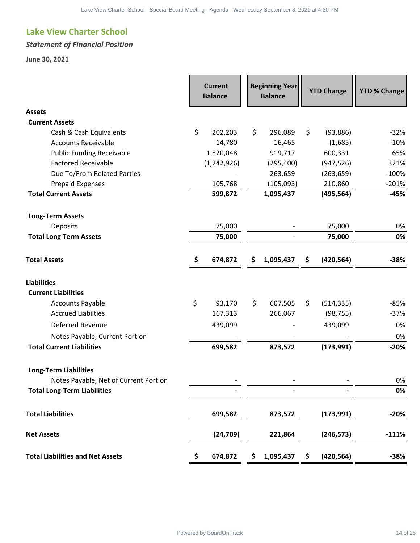#### *Statement of Financial Position*

|               |                                                   | <b>Balance</b>           |                       |            | <b>YTD % Change</b> |
|---------------|---------------------------------------------------|--------------------------|-----------------------|------------|---------------------|
|               |                                                   |                          |                       |            |                     |
|               |                                                   |                          |                       |            |                     |
| \$<br>202,203 | \$                                                | 296,089                  | \$                    | (93, 886)  | $-32%$              |
| 14,780        |                                                   | 16,465                   |                       | (1,685)    | $-10%$              |
| 1,520,048     |                                                   | 919,717                  |                       | 600,331    | 65%                 |
|               |                                                   | (295, 400)               |                       | (947, 526) | 321%                |
|               |                                                   | 263,659                  |                       | (263, 659) | $-100%$             |
| 105,768       |                                                   | (105,093)                |                       | 210,860    | $-201%$             |
| 599,872       |                                                   | 1,095,437                |                       | (495, 564) | $-45%$              |
|               |                                                   |                          |                       |            |                     |
| 75,000        |                                                   |                          |                       | 75,000     | 0%                  |
| 75,000        |                                                   | $\overline{\phantom{0}}$ |                       | 75,000     | 0%                  |
| \$<br>674,872 | \$.                                               | 1,095,437                | \$                    | (420, 564) | $-38%$              |
|               |                                                   |                          |                       |            |                     |
|               |                                                   |                          |                       |            |                     |
|               |                                                   |                          |                       |            |                     |
| \$<br>93,170  | \$                                                | 607,505                  | \$                    | (514, 335) |                     |
| 167,313       |                                                   | 266,067                  |                       | (98, 755)  | $-85%$<br>$-37%$    |
|               |                                                   |                          |                       | 439,099    | 0%                  |
| 439,099       |                                                   |                          |                       |            |                     |
| 699,582       |                                                   | 873,572                  |                       | (173,991)  | 0%<br>$-20%$        |
|               |                                                   |                          |                       |            |                     |
|               |                                                   |                          |                       |            |                     |
|               |                                                   |                          |                       |            | 0%<br>0%            |
| 699,582       |                                                   | 873,572                  |                       | (173, 991) | $-20%$              |
| (24, 709)     |                                                   | 221,864                  |                       | (246, 573) | $-111%$             |
|               | <b>Current</b><br><b>Balance</b><br>(1, 242, 926) |                          | <b>Beginning Year</b> |            | <b>YTD Change</b>   |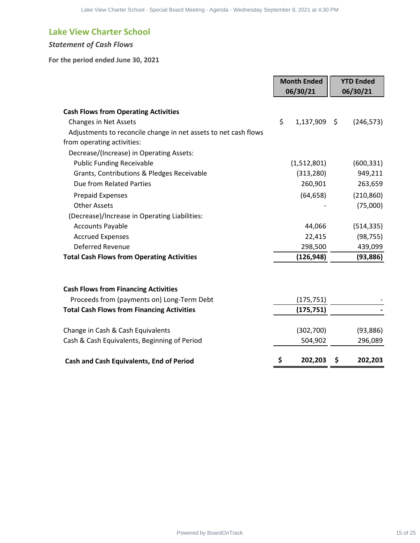#### *Statement of Cash Flows*

#### **For the period ended June 30, 2021**

| the period ended June 30, 2021                                  |                                |   |                              |
|-----------------------------------------------------------------|--------------------------------|---|------------------------------|
|                                                                 |                                |   |                              |
|                                                                 | <b>Month Ended</b><br>06/30/21 |   | <b>YTD Ended</b><br>06/30/21 |
| <b>Cash Flows from Operating Activities</b>                     |                                |   |                              |
| <b>Changes in Net Assets</b>                                    | \$<br>1,137,909 \$             |   | (246, 573)                   |
| Adjustments to reconcile change in net assets to net cash flows |                                |   |                              |
| from operating activities:                                      |                                |   |                              |
| Decrease/(Increase) in Operating Assets:                        |                                |   |                              |
| <b>Public Funding Receivable</b>                                | (1,512,801)                    |   | (600, 331)                   |
| Grants, Contributions & Pledges Receivable                      | (313, 280)                     |   | 949,211                      |
| Due from Related Parties                                        | 260,901                        |   | 263,659                      |
| <b>Prepaid Expenses</b>                                         | (64, 658)                      |   | (210, 860)                   |
| <b>Other Assets</b>                                             |                                |   | (75,000)                     |
| (Decrease)/Increase in Operating Liabilities:                   |                                |   |                              |
| <b>Accounts Payable</b>                                         | 44,066                         |   | (514, 335)                   |
| <b>Accrued Expenses</b>                                         | 22,415                         |   | (98, 755)                    |
| Deferred Revenue                                                | 298,500                        |   | 439,099                      |
| <b>Total Cash Flows from Operating Activities</b>               | (126, 948)                     |   | (93, 886)                    |
| <b>Cash Flows from Financing Activities</b>                     |                                |   |                              |
| Proceeds from (payments on) Long-Term Debt                      | (175, 751)                     |   |                              |
| <b>Total Cash Flows from Financing Activities</b>               | (175, 751)                     |   |                              |
|                                                                 |                                |   |                              |
| Change in Cash & Cash Equivalents                               | (302,700)                      |   | (93, 886)                    |
| Cash & Cash Equivalents, Beginning of Period                    | 504,902                        |   | 296,089                      |
| Cash and Cash Equivalents, End of Period                        | \$<br>202,203                  | S | 202,203                      |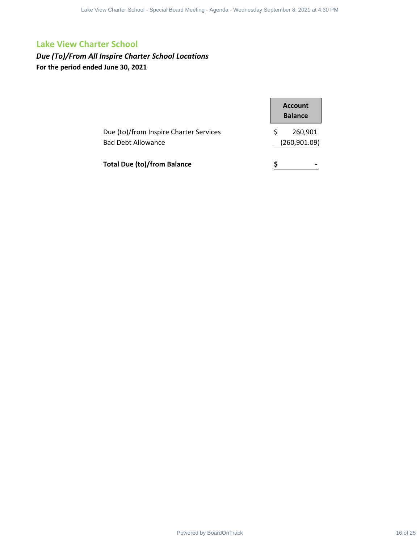*Due (To)/From All Inspire Charter School Locations* **For the period ended June 30, 2021**

| <b>Charter School</b>                                         |                                                   |  |
|---------------------------------------------------------------|---------------------------------------------------|--|
| m All Inspire Charter School Locations<br>ended June 30, 2021 |                                                   |  |
| Due (to)/from Inspire Charter Services                        | <b>Account</b><br><b>Balance</b><br>\$<br>260,901 |  |
| <b>Bad Debt Allowance</b>                                     | (260, 901.09)                                     |  |
| <b>Total Due (to)/from Balance</b>                            | $\frac{1}{2}$                                     |  |
|                                                               |                                                   |  |
|                                                               |                                                   |  |
|                                                               |                                                   |  |
|                                                               |                                                   |  |
|                                                               |                                                   |  |
|                                                               |                                                   |  |
|                                                               |                                                   |  |
|                                                               |                                                   |  |
|                                                               |                                                   |  |
|                                                               |                                                   |  |
|                                                               |                                                   |  |
|                                                               |                                                   |  |
|                                                               |                                                   |  |
|                                                               |                                                   |  |
|                                                               |                                                   |  |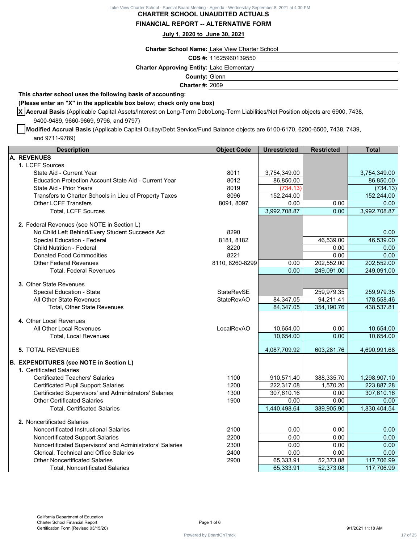#### **CHARTER SCHOOL UNAUDITED ACTUALS FINANCIAL REPORT -- ALTERNATIVE FORM**

#### **July 1, 2020 to June 30, 2021**

#### **(Please enter an "X" in the applicable box below; check only one box)**

| <b>Charter School Name: Lake View Charter School</b><br>CDS #: 11625960139550<br><b>Charter Approving Entity: Lake Elementary</b><br><b>County: Glenn</b><br><b>Charter #: 2069</b><br>(Please enter an "X" in the applicable box below; check only one box)<br>X Accrual Basis (Applicable Capital Assets/Interest on Long-Term Debt/Long-Term Liabilities/Net Position objects are 6900, 7438,<br>Modified Accrual Basis (Applicable Capital Outlay/Debt Service/Fund Balance objects are 6100-6170, 6200-6500, 7438, 7439, |                                                                                                                    |                                                                                                                                        |                                                                                      |
|-------------------------------------------------------------------------------------------------------------------------------------------------------------------------------------------------------------------------------------------------------------------------------------------------------------------------------------------------------------------------------------------------------------------------------------------------------------------------------------------------------------------------------|--------------------------------------------------------------------------------------------------------------------|----------------------------------------------------------------------------------------------------------------------------------------|--------------------------------------------------------------------------------------|
|                                                                                                                                                                                                                                                                                                                                                                                                                                                                                                                               |                                                                                                                    |                                                                                                                                        |                                                                                      |
|                                                                                                                                                                                                                                                                                                                                                                                                                                                                                                                               |                                                                                                                    |                                                                                                                                        |                                                                                      |
|                                                                                                                                                                                                                                                                                                                                                                                                                                                                                                                               |                                                                                                                    |                                                                                                                                        |                                                                                      |
|                                                                                                                                                                                                                                                                                                                                                                                                                                                                                                                               |                                                                                                                    |                                                                                                                                        |                                                                                      |
|                                                                                                                                                                                                                                                                                                                                                                                                                                                                                                                               |                                                                                                                    |                                                                                                                                        |                                                                                      |
|                                                                                                                                                                                                                                                                                                                                                                                                                                                                                                                               |                                                                                                                    |                                                                                                                                        |                                                                                      |
| <b>Object Code</b>                                                                                                                                                                                                                                                                                                                                                                                                                                                                                                            | <b>Unrestricted</b>                                                                                                | <b>Restricted</b>                                                                                                                      | <b>Total</b>                                                                         |
|                                                                                                                                                                                                                                                                                                                                                                                                                                                                                                                               |                                                                                                                    |                                                                                                                                        |                                                                                      |
|                                                                                                                                                                                                                                                                                                                                                                                                                                                                                                                               |                                                                                                                    |                                                                                                                                        |                                                                                      |
|                                                                                                                                                                                                                                                                                                                                                                                                                                                                                                                               |                                                                                                                    |                                                                                                                                        | 3,754,349.00                                                                         |
|                                                                                                                                                                                                                                                                                                                                                                                                                                                                                                                               |                                                                                                                    |                                                                                                                                        | 86,850.00<br>(734.13)                                                                |
|                                                                                                                                                                                                                                                                                                                                                                                                                                                                                                                               |                                                                                                                    |                                                                                                                                        | 152,244.00                                                                           |
| 8091, 8097                                                                                                                                                                                                                                                                                                                                                                                                                                                                                                                    | 0.00                                                                                                               | 0.00                                                                                                                                   | 0.00                                                                                 |
|                                                                                                                                                                                                                                                                                                                                                                                                                                                                                                                               | 3,992,708.87                                                                                                       | 0.00                                                                                                                                   | 3,992,708.87                                                                         |
|                                                                                                                                                                                                                                                                                                                                                                                                                                                                                                                               |                                                                                                                    |                                                                                                                                        |                                                                                      |
|                                                                                                                                                                                                                                                                                                                                                                                                                                                                                                                               |                                                                                                                    |                                                                                                                                        | 0.00                                                                                 |
|                                                                                                                                                                                                                                                                                                                                                                                                                                                                                                                               |                                                                                                                    |                                                                                                                                        | 46,539.00                                                                            |
|                                                                                                                                                                                                                                                                                                                                                                                                                                                                                                                               |                                                                                                                    | 0.00                                                                                                                                   | 0.00                                                                                 |
| 8221                                                                                                                                                                                                                                                                                                                                                                                                                                                                                                                          |                                                                                                                    | 0.00                                                                                                                                   | 0.00                                                                                 |
| 8110, 8260-8299                                                                                                                                                                                                                                                                                                                                                                                                                                                                                                               | 0.00                                                                                                               | 202,552.00                                                                                                                             | 202,552.00                                                                           |
|                                                                                                                                                                                                                                                                                                                                                                                                                                                                                                                               | 0.00                                                                                                               | 249,091.00                                                                                                                             | 249,091.00                                                                           |
|                                                                                                                                                                                                                                                                                                                                                                                                                                                                                                                               |                                                                                                                    |                                                                                                                                        |                                                                                      |
| <b>StateRevSE</b>                                                                                                                                                                                                                                                                                                                                                                                                                                                                                                             |                                                                                                                    | 259,979.35                                                                                                                             | 259,979.35                                                                           |
| <b>StateRevAO</b>                                                                                                                                                                                                                                                                                                                                                                                                                                                                                                             | 84,347.05                                                                                                          | 94,211.41                                                                                                                              | 178,558.46                                                                           |
|                                                                                                                                                                                                                                                                                                                                                                                                                                                                                                                               | 84,347.05                                                                                                          | 354,190.76                                                                                                                             | 438,537.81                                                                           |
|                                                                                                                                                                                                                                                                                                                                                                                                                                                                                                                               |                                                                                                                    |                                                                                                                                        |                                                                                      |
| LocalRevAO                                                                                                                                                                                                                                                                                                                                                                                                                                                                                                                    | 10,654.00                                                                                                          | 0.00                                                                                                                                   | 10,654.00                                                                            |
|                                                                                                                                                                                                                                                                                                                                                                                                                                                                                                                               | 10,654.00                                                                                                          | 0.00                                                                                                                                   | 10,654.00                                                                            |
|                                                                                                                                                                                                                                                                                                                                                                                                                                                                                                                               | 4,087,709.92                                                                                                       | 603,281.76                                                                                                                             | 4,690,991.68                                                                         |
|                                                                                                                                                                                                                                                                                                                                                                                                                                                                                                                               |                                                                                                                    |                                                                                                                                        |                                                                                      |
|                                                                                                                                                                                                                                                                                                                                                                                                                                                                                                                               |                                                                                                                    |                                                                                                                                        |                                                                                      |
| 1100                                                                                                                                                                                                                                                                                                                                                                                                                                                                                                                          | 910,571.40                                                                                                         | 388,335.70                                                                                                                             | 1,298,907.10                                                                         |
| 1200                                                                                                                                                                                                                                                                                                                                                                                                                                                                                                                          | 222,317.08                                                                                                         | 1,570.20                                                                                                                               | 223,887.28                                                                           |
|                                                                                                                                                                                                                                                                                                                                                                                                                                                                                                                               |                                                                                                                    |                                                                                                                                        | 307,610.16                                                                           |
|                                                                                                                                                                                                                                                                                                                                                                                                                                                                                                                               |                                                                                                                    |                                                                                                                                        | 0.00<br>1,830,404.54                                                                 |
|                                                                                                                                                                                                                                                                                                                                                                                                                                                                                                                               |                                                                                                                    |                                                                                                                                        |                                                                                      |
|                                                                                                                                                                                                                                                                                                                                                                                                                                                                                                                               |                                                                                                                    |                                                                                                                                        |                                                                                      |
|                                                                                                                                                                                                                                                                                                                                                                                                                                                                                                                               |                                                                                                                    |                                                                                                                                        | 0.00                                                                                 |
|                                                                                                                                                                                                                                                                                                                                                                                                                                                                                                                               |                                                                                                                    |                                                                                                                                        | 0.00<br>0.00                                                                         |
|                                                                                                                                                                                                                                                                                                                                                                                                                                                                                                                               |                                                                                                                    |                                                                                                                                        | 0.00                                                                                 |
|                                                                                                                                                                                                                                                                                                                                                                                                                                                                                                                               |                                                                                                                    |                                                                                                                                        | 117,706.99                                                                           |
|                                                                                                                                                                                                                                                                                                                                                                                                                                                                                                                               | 65,333.91                                                                                                          | 52,373.08                                                                                                                              | 117,706.99                                                                           |
|                                                                                                                                                                                                                                                                                                                                                                                                                                                                                                                               | 8011<br>8012<br>8019<br>8096<br>8290<br>8181, 8182<br>8220<br>1300<br>1900<br>2100<br>2200<br>2300<br>2400<br>2900 | 3,754,349.00<br>86,850.00<br>(734.13)<br>152,244.00<br>307,610.16<br>0.00<br>1,440,498.64<br>0.00<br>0.00<br>0.00<br>0.00<br>65,333.91 | 46,539.00<br>0.00<br>0.00<br>389,905.90<br>0.00<br>0.00<br>0.00<br>0.00<br>52,373.08 |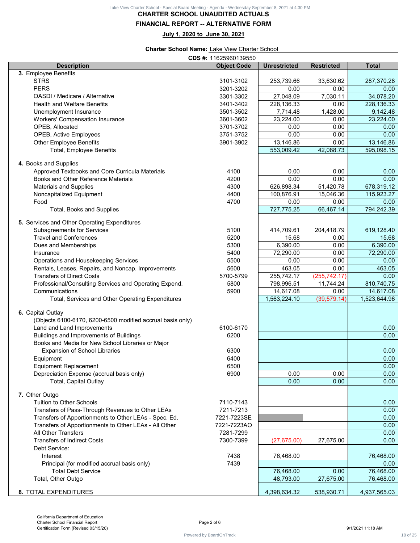|                                                                                 | July 1, 2020 to June 30, 2021                                                 |                     |                   |                   |
|---------------------------------------------------------------------------------|-------------------------------------------------------------------------------|---------------------|-------------------|-------------------|
|                                                                                 | <b>Charter School Name: Lake View Charter School</b><br>CDS #: 11625960139550 |                     |                   |                   |
| <b>Description</b>                                                              | <b>Object Code</b>                                                            | <b>Unrestricted</b> | <b>Restricted</b> | <b>Total</b>      |
| 3. Employee Benefits                                                            |                                                                               |                     |                   |                   |
| <b>STRS</b>                                                                     | 3101-3102                                                                     | 253,739.66          | 33,630.62         | 287,370.28        |
| <b>PERS</b>                                                                     | 3201-3202                                                                     | 0.00                | 0.00              | 0.00              |
| <b>OASDI</b> / Medicare / Alternative                                           | 3301-3302                                                                     | 27,048.09           | 7,030.11          | 34,078.20         |
| <b>Health and Welfare Benefits</b>                                              | 3401-3402                                                                     | 228,136.33          | 0.00              | 228,136.33        |
| Unemployment Insurance                                                          | 3501-3502                                                                     | 7,714.48            | 1,428.00          | 9,142.48          |
| <b>Workers' Compensation Insurance</b>                                          | 3601-3602                                                                     | 23,224.00           | 0.00              | 23,224.00         |
| OPEB, Allocated                                                                 | 3701-3702                                                                     | 0.00                | 0.00              | 0.00              |
| <b>OPEB, Active Employees</b><br><b>Other Employee Benefits</b>                 | 3751-3752<br>3901-3902                                                        | 0.00<br>13,146.86   | 0.00<br>0.00      | 0.00<br>13,146.86 |
| <b>Total, Employee Benefits</b>                                                 |                                                                               | 553,009.42          | 42,088.73         | 595,098.15        |
|                                                                                 |                                                                               |                     |                   |                   |
| 4. Books and Supplies                                                           |                                                                               |                     |                   |                   |
| Approved Textbooks and Core Curricula Materials                                 | 4100                                                                          | 0.00                | 0.00              | 0.00              |
| <b>Books and Other Reference Materials</b>                                      | 4200                                                                          | 0.00                | 0.00              | 0.00              |
| <b>Materials and Supplies</b>                                                   | 4300                                                                          | 626,898.34          | 51,420.78         | 678,319.12        |
| Noncapitalized Equipment                                                        | 4400                                                                          | 100,876.91          | 15,046.36         | 115,923.27        |
| Food                                                                            | 4700                                                                          | 0.00                | 0.00              | 0.00              |
| <b>Total, Books and Supplies</b>                                                |                                                                               | 727,775.25          | 66,467.14         | 794,242.39        |
| 5. Services and Other Operating Expenditures                                    |                                                                               |                     |                   |                   |
| <b>Subagreements for Services</b>                                               | 5100                                                                          | 414,709.61          | 204,418.79        | 619,128.40        |
| <b>Travel and Conferences</b>                                                   | 5200                                                                          | 15.68               | 0.00              | 15.68             |
| Dues and Memberships                                                            | 5300                                                                          | 6,390.00            | 0.00              | 6,390.00          |
| Insurance                                                                       | 5400                                                                          | 72,290.00           | 0.00              | 72,290.00         |
| Operations and Housekeeping Services                                            | 5500                                                                          | 0.00                | 0.00              | 0.00              |
| Rentals, Leases, Repairs, and Noncap. Improvements                              | 5600                                                                          | 463.05              | 0.00              | 463.05            |
| <b>Transfers of Direct Costs</b>                                                | 5700-5799                                                                     | 255,742.17          | (255, 742.17)     | 0.00              |
| Professional/Consulting Services and Operating Expend.                          | 5800                                                                          | 798,996.51          | 11,744.24         | 810,740.75        |
| Communications                                                                  | 5900                                                                          | 14,617.08           | 0.00              | 14,617.08         |
| Total, Services and Other Operating Expenditures                                |                                                                               | 1,563,224.10        | (39, 579.14)      | 1,523,644.96      |
|                                                                                 |                                                                               |                     |                   |                   |
| 6. Capital Outlay<br>(Objects 6100-6170, 6200-6500 modified accrual basis only) |                                                                               |                     |                   |                   |
| Land and Land Improvements                                                      | 6100-6170                                                                     |                     |                   | 0.00              |
| Buildings and Improvements of Buildings                                         | 6200                                                                          |                     |                   | 0.00              |
| Books and Media for New School Libraries or Major                               |                                                                               |                     |                   |                   |
| <b>Expansion of School Libraries</b>                                            | 6300                                                                          |                     |                   | 0.00              |
| Equipment                                                                       | 6400                                                                          |                     |                   | 0.00              |
| <b>Equipment Replacement</b>                                                    | 6500                                                                          |                     |                   | 0.00              |
| Depreciation Expense (accrual basis only)                                       | 6900                                                                          | 0.00                | 0.00              | 0.00              |
| <b>Total, Capital Outlay</b>                                                    |                                                                               | 0.00                | 0.00              | 0.00              |
|                                                                                 |                                                                               |                     |                   |                   |
| 7. Other Outgo                                                                  |                                                                               |                     |                   |                   |
| <b>Tuition to Other Schools</b>                                                 | 7110-7143                                                                     |                     |                   | 0.00              |
| Transfers of Pass-Through Revenues to Other LEAs                                | 7211-7213                                                                     |                     |                   | 0.00              |
| Transfers of Apportionments to Other LEAs - Spec. Ed.                           | 7221-7223SE                                                                   |                     |                   | 0.00              |
| Transfers of Apportionments to Other LEAs - All Other                           | 7221-7223AO                                                                   |                     |                   | 0.00              |
| <b>All Other Transfers</b>                                                      | 7281-7299                                                                     |                     |                   | 0.00              |
| <b>Transfers of Indirect Costs</b>                                              | 7300-7399                                                                     | (27, 675.00)        | 27,675.00         | 0.00              |
| Debt Service:                                                                   |                                                                               |                     |                   |                   |
| Interest                                                                        | 7438                                                                          | 76,468.00           |                   | 76,468.00         |
| Principal (for modified accrual basis only)<br><b>Total Debt Service</b>        | 7439                                                                          | 76,468.00           | 0.00              | 0.00<br>76,468.00 |
| Total, Other Outgo                                                              |                                                                               | 48,793.00           | 27,675.00         | 76,468.00         |
|                                                                                 |                                                                               |                     |                   |                   |
| 8. TOTAL EXPENDITURES                                                           |                                                                               | 4,398,634.32        | 538,930.71        | 4,937,565.03      |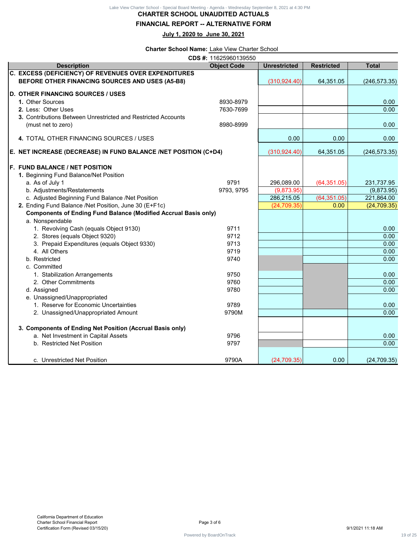Lake View Charter School - Special Board Meeting - Agenda - Wednesday September 8, 2021 at 4:30 PM<br>**CHARTER SCHOOL UNAUDITED ACTUALS** 

#### **FINANCIAL REPORT -- ALTERNATIVE FORM**

| Lake View Charter School - Special Board Meeting - Agenda - Wednesday September 8, 2021 at 4:30 PM<br><b>CHARTER SCHOOL UNAUDITED ACTUALS</b><br><b>FINANCIAL REPORT -- ALTERNATIVE FORM</b> |                                                      |                     |                   |                   |
|----------------------------------------------------------------------------------------------------------------------------------------------------------------------------------------------|------------------------------------------------------|---------------------|-------------------|-------------------|
|                                                                                                                                                                                              | July 1, 2020 to June 30, 2021                        |                     |                   |                   |
|                                                                                                                                                                                              | <b>Charter School Name: Lake View Charter School</b> |                     |                   |                   |
| <b>Description</b>                                                                                                                                                                           | CDS #: 11625960139550<br><b>Object Code</b>          | <b>Unrestricted</b> | <b>Restricted</b> | <b>Total</b>      |
| C. EXCESS (DEFICIENCY) OF REVENUES OVER EXPENDITURES<br>BEFORE OTHER FINANCING SOURCES AND USES (A5-B8)                                                                                      |                                                      | (310, 924.40)       | 64,351.05         | (246, 573.35)     |
| <b>D. OTHER FINANCING SOURCES / USES</b>                                                                                                                                                     |                                                      |                     |                   |                   |
| 1. Other Sources<br>2. Less: Other Uses                                                                                                                                                      | 8930-8979<br>7630-7699                               |                     |                   | 0.00<br>0.00      |
| 3. Contributions Between Unrestricted and Restricted Accounts                                                                                                                                |                                                      |                     |                   |                   |
| (must net to zero)                                                                                                                                                                           | 8980-8999                                            |                     |                   | 0.00              |
| 4. TOTAL OTHER FINANCING SOURCES / USES                                                                                                                                                      |                                                      | 0.00                | 0.00              | 0.00              |
| E. NET INCREASE (DECREASE) IN FUND BALANCE /NET POSITION (C+D4)                                                                                                                              |                                                      | (310, 924.40)       | 64,351.05         | (246, 573.35)     |
| <b>F. FUND BALANCE / NET POSITION</b>                                                                                                                                                        |                                                      |                     |                   |                   |
| 1. Beginning Fund Balance/Net Position                                                                                                                                                       |                                                      |                     |                   |                   |
| a. As of July 1                                                                                                                                                                              | 9791                                                 | 296,089.00          | (64, 351.05)      | 231,737.95        |
| b. Adjustments/Restatements                                                                                                                                                                  | 9793, 9795                                           | (9,873.95)          |                   | (9,873.95)        |
| c. Adjusted Beginning Fund Balance /Net Position                                                                                                                                             |                                                      | 286,215.05          | (64, 351.05)      | 221,864.00        |
| 2. Ending Fund Balance /Net Position, June 30 (E+F1c)                                                                                                                                        |                                                      | (24, 709.35)        | 0.00              | (24, 709.35)      |
| <b>Components of Ending Fund Balance (Modified Accrual Basis only)</b>                                                                                                                       |                                                      |                     |                   |                   |
| a. Nonspendable                                                                                                                                                                              | 9711                                                 |                     |                   | 0.00              |
| 1. Revolving Cash (equals Object 9130)<br>2. Stores (equals Object 9320)                                                                                                                     | 9712                                                 |                     |                   | 0.00              |
|                                                                                                                                                                                              | 9713                                                 |                     |                   | 0.00              |
| 3. Prepaid Expenditures (equals Object 9330)<br>4. All Others                                                                                                                                | 9719                                                 |                     |                   | 0.00              |
| b. Restricted                                                                                                                                                                                | 9740                                                 |                     |                   | 0.00              |
| c. Committed                                                                                                                                                                                 |                                                      |                     |                   |                   |
| 1. Stabilization Arrangements                                                                                                                                                                | 9750                                                 |                     |                   | 0.00              |
| 2. Other Commitments                                                                                                                                                                         | 9760                                                 |                     |                   | 0.00              |
| d. Assigned                                                                                                                                                                                  | 9780                                                 |                     |                   | 0.00              |
| e. Unassigned/Unappropriated                                                                                                                                                                 |                                                      |                     |                   |                   |
| 1. Reserve for Economic Uncertainties                                                                                                                                                        | 9789                                                 |                     |                   | 0.00              |
| 2. Unassigned/Unappropriated Amount                                                                                                                                                          | 9790M                                                |                     |                   | 0.00              |
| 3. Components of Ending Net Position (Accrual Basis only)                                                                                                                                    |                                                      |                     |                   |                   |
| a. Net Investment in Capital Assets                                                                                                                                                          | 9796                                                 |                     |                   | 0.00              |
| b. Restricted Net Position                                                                                                                                                                   | 9797                                                 |                     |                   | 0.00              |
|                                                                                                                                                                                              |                                                      |                     |                   |                   |
| c. Unrestricted Net Position                                                                                                                                                                 | 9790A                                                | (24, 709.35)        | 0.00              | (24, 709.35)      |
|                                                                                                                                                                                              |                                                      |                     |                   |                   |
| California Department of Education<br><b>Charter School Financial Report</b><br>Certification Form (Revised 03/15/20)                                                                        | Page 3 of 6                                          |                     |                   | 9/1/2021 11:18 AM |
|                                                                                                                                                                                              | Powered by BoardOnTrack                              |                     |                   |                   |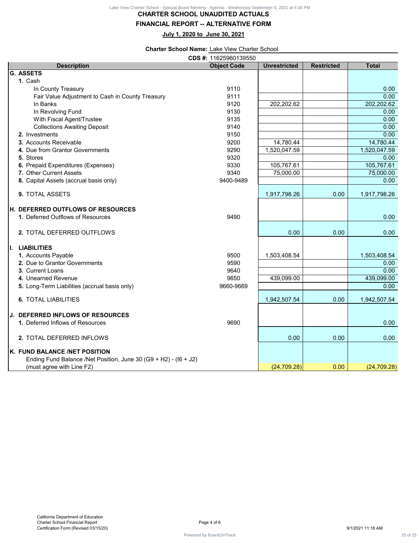#### **FINANCIAL REPORT -- ALTERNATIVE FORM**

|                                                                  | <b>FINANCIAL REPORT -- ALTERNATIVE FORM</b>          | <b>CHARTER SCHOOL UNAUDITED ACTUALS</b> |                   |                         |
|------------------------------------------------------------------|------------------------------------------------------|-----------------------------------------|-------------------|-------------------------|
|                                                                  | July 1, 2020 to June 30, 2021                        |                                         |                   |                         |
|                                                                  | <b>Charter School Name: Lake View Charter School</b> |                                         |                   |                         |
| <b>Description</b>                                               | CDS #: 11625960139550<br><b>Object Code</b>          | <b>Unrestricted</b>                     | <b>Restricted</b> | <b>Total</b>            |
| <b>G. ASSETS</b>                                                 |                                                      |                                         |                   |                         |
| 1. Cash                                                          |                                                      |                                         |                   |                         |
| In County Treasury                                               | 9110                                                 |                                         |                   | 0.00<br>0.00            |
| Fair Value Adjustment to Cash in County Treasury<br>In Banks     | 9111<br>9120                                         | 202,202.62                              |                   | 202,202.62              |
| In Revolving Fund                                                | 9130                                                 |                                         |                   | 0.00                    |
| With Fiscal Agent/Trustee                                        | 9135                                                 |                                         |                   | 0.00                    |
| <b>Collections Awaiting Deposit</b>                              | 9140                                                 |                                         |                   | 0.00                    |
| 2. Investments                                                   | 9150                                                 |                                         |                   | 0.00                    |
| 3. Accounts Receivable                                           | 9200                                                 | 14,780.44                               |                   | 14,780.44               |
| 4. Due from Grantor Governments                                  | 9290                                                 | 1,520,047.59                            |                   | 1,520,047.59            |
| 5. Stores                                                        | 9320                                                 |                                         |                   | 0.00                    |
| 6. Prepaid Expenditures (Expenses)<br>7. Other Current Assets    | 9330<br>9340                                         | 105,767.61<br>75,000.00                 |                   | 105,767.61<br>75,000.00 |
| 8. Capital Assets (accrual basis only)                           | 9400-9489                                            |                                         |                   | 0.00                    |
|                                                                  |                                                      |                                         |                   |                         |
| 9. TOTAL ASSETS                                                  |                                                      | 1,917,798.26                            | 0.00              | 1,917,798.26            |
| H. DEFERRED OUTFLOWS OF RESOURCES                                |                                                      |                                         |                   |                         |
| 1. Deferred Outflows of Resources                                | 9490                                                 |                                         |                   | 0.00                    |
| 2. TOTAL DEFERRED OUTFLOWS                                       |                                                      | 0.00                                    | 0.00              | 0.00                    |
|                                                                  |                                                      |                                         |                   |                         |
| I. LIABILITIES                                                   |                                                      |                                         |                   |                         |
| 1. Accounts Payable<br>2. Due to Grantor Governments             | 9500<br>9590                                         | 1,503,408.54                            |                   | 1,503,408.54<br>0.00    |
| 3. Current Loans                                                 | 9640                                                 |                                         |                   | 0.00                    |
| 4. Unearned Revenue                                              | 9650                                                 | 439,099.00                              |                   | 439,099.00              |
| 5. Long-Term Liabilities (accrual basis only)                    | 9660-9669                                            |                                         |                   | 0.00                    |
| <b>6. TOTAL LIABILITIES</b>                                      |                                                      | 1,942,507.54                            | 0.00              | 1,942,507.54            |
| <b>J. DEFERRED INFLOWS OF RESOURCES</b>                          |                                                      |                                         |                   |                         |
| 1. Deferred Inflows of Resources                                 | 9690                                                 |                                         |                   | 0.00                    |
| 2. TOTAL DEFERRED INFLOWS                                        |                                                      | 0.00                                    | 0.00              | 0.00                    |
| K. FUND BALANCE /NET POSITION                                    |                                                      |                                         |                   |                         |
| Ending Fund Balance /Net Position, June 30 (G9 + H2) - (I6 + J2) |                                                      |                                         |                   |                         |
| (must agree with Line F2)                                        |                                                      | (24, 709.28)                            | 0.00              | (24, 709.28)            |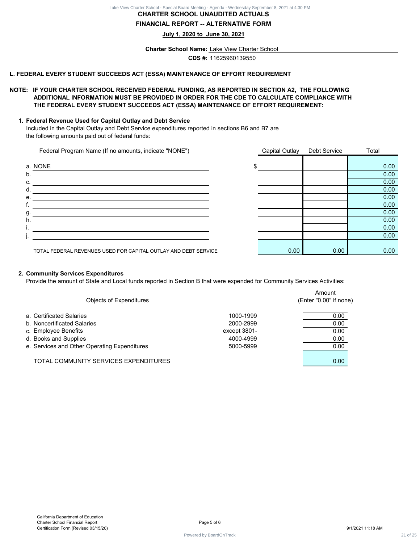#### **CHARTER SCHOOL UNAUDITED ACTUALS FINANCIAL REPORT -- ALTERNATIVE FORM**

#### **L. FEDERAL EVERY STUDENT SUCCEEDS ACT (ESSA) MAINTENANCE OF EFFORT REQUIREMENT**

#### **NOTE: IF YOUR CHARTER SCHOOL RECEIVED FEDERAL FUNDING, AS REPORTED IN SECTION A2, THE FOLLOWING ADDITIONAL INFORMATION MUST BE PROVIDED IN ORDER FOR THE CDE TO CALCULATE COMPLIANCE WITH THE FEDERAL EVERY STUDENT SUCCEEDS ACT (ESSA) MAINTENANCE OF EFFORT REQUIREMENT:**

#### **1. Federal Revenue Used for Capital Outlay and Debt Service**

|                                                                                                                                                                                                                                                                                                                                                                                                                                                    | <b>FINANCIAL REPORT -- ALTERNATIVE FORM</b>          | <b>CHARTER SCHOOL UNAUDITED ACTUALS</b> |                                  |                   |
|----------------------------------------------------------------------------------------------------------------------------------------------------------------------------------------------------------------------------------------------------------------------------------------------------------------------------------------------------------------------------------------------------------------------------------------------------|------------------------------------------------------|-----------------------------------------|----------------------------------|-------------------|
|                                                                                                                                                                                                                                                                                                                                                                                                                                                    | July 1, 2020 to June 30, 2021                        |                                         |                                  |                   |
|                                                                                                                                                                                                                                                                                                                                                                                                                                                    | <b>Charter School Name: Lake View Charter School</b> |                                         |                                  |                   |
|                                                                                                                                                                                                                                                                                                                                                                                                                                                    | CDS #: 11625960139550                                |                                         |                                  |                   |
| L. FEDERAL EVERY STUDENT SUCCEEDS ACT (ESSA) MAINTENANCE OF EFFORT REQUIREMENT                                                                                                                                                                                                                                                                                                                                                                     |                                                      |                                         |                                  |                   |
| NOTE: IF YOUR CHARTER SCHOOL RECEIVED FEDERAL FUNDING, AS REPORTED IN SECTION A2, THE FOLLOWING<br>ADDITIONAL INFORMATION MUST BE PROVIDED IN ORDER FOR THE CDE TO CALCULATE COMPLIANCE WITH<br>THE FEDERAL EVERY STUDENT SUCCEEDS ACT (ESSA) MAINTENANCE OF EFFORT REQUIREMENT:<br>1. Federal Revenue Used for Capital Outlay and Debt Service<br>Included in the Capital Outlay and Debt Service expenditures reported in sections B6 and B7 are |                                                      |                                         |                                  |                   |
| the following amounts paid out of federal funds:                                                                                                                                                                                                                                                                                                                                                                                                   |                                                      |                                         |                                  |                   |
| Federal Program Name (If no amounts, indicate "NONE")                                                                                                                                                                                                                                                                                                                                                                                              |                                                      | <b>Capital Outlay</b>                   | <b>Debt Service</b>              | Total             |
| a. NONE<br><u> 1980 - Johann Barn, mars ann an t-Amhain Aonaich an t-Aonaich an t-Aonaich ann an t-Aonaich ann an t-Aonaich</u>                                                                                                                                                                                                                                                                                                                    | \$                                                   |                                         |                                  | 0.00              |
| b.<br><u> 1989 - Johann Stein, mars an deus Amerikaansk kommunister (* 1958)</u>                                                                                                                                                                                                                                                                                                                                                                   |                                                      |                                         |                                  | 0.00              |
| C.<br><u> 1980 - Andrea Brand, Amerikaansk politiker (d. 1980)</u>                                                                                                                                                                                                                                                                                                                                                                                 |                                                      |                                         |                                  | 0.00              |
| d. $\overline{\phantom{a}}$                                                                                                                                                                                                                                                                                                                                                                                                                        |                                                      |                                         |                                  | 0.00              |
| $e.$ $\overline{\phantom{a}}$                                                                                                                                                                                                                                                                                                                                                                                                                      |                                                      |                                         |                                  | 0.00<br>0.00      |
| <u> 1989 - Johann Barnett, fransk politiker (d. 1989)</u><br>g.                                                                                                                                                                                                                                                                                                                                                                                    |                                                      |                                         |                                  | 0.00              |
| <u> 1989 - Johann Barbara, martin amerikan basar dan berasal dalam basa dalam basa dalam basa dalam basa dalam b</u><br>h.                                                                                                                                                                                                                                                                                                                         |                                                      |                                         |                                  | 0.00              |
| ı.                                                                                                                                                                                                                                                                                                                                                                                                                                                 |                                                      |                                         |                                  | 0.00              |
|                                                                                                                                                                                                                                                                                                                                                                                                                                                    |                                                      |                                         |                                  | 0.00              |
| TOTAL FEDERAL REVENUES USED FOR CAPITAL OUTLAY AND DEBT SERVICE                                                                                                                                                                                                                                                                                                                                                                                    |                                                      | 0.00                                    | 0.00                             | 0.00              |
| <b>Objects of Expenditures</b>                                                                                                                                                                                                                                                                                                                                                                                                                     |                                                      |                                         | Amount<br>(Enter "0.00" if none) |                   |
|                                                                                                                                                                                                                                                                                                                                                                                                                                                    |                                                      |                                         |                                  |                   |
|                                                                                                                                                                                                                                                                                                                                                                                                                                                    |                                                      |                                         |                                  |                   |
| a. Certificated Salaries                                                                                                                                                                                                                                                                                                                                                                                                                           | 1000-1999                                            |                                         | 0.00                             |                   |
| b. Noncertificated Salaries<br>c. Employee Benefits                                                                                                                                                                                                                                                                                                                                                                                                | 2000-2999<br>except 3801-                            |                                         | 0.00<br>0.00                     |                   |
| d. Books and Supplies                                                                                                                                                                                                                                                                                                                                                                                                                              | 4000-4999                                            |                                         | 0.00                             |                   |
| e. Services and Other Operating Expenditures                                                                                                                                                                                                                                                                                                                                                                                                       | 5000-5999                                            |                                         | 0.00                             |                   |
| TOTAL COMMUNITY SERVICES EXPENDITURES                                                                                                                                                                                                                                                                                                                                                                                                              |                                                      |                                         | 0.00                             |                   |
|                                                                                                                                                                                                                                                                                                                                                                                                                                                    |                                                      |                                         |                                  |                   |
|                                                                                                                                                                                                                                                                                                                                                                                                                                                    |                                                      |                                         |                                  |                   |
|                                                                                                                                                                                                                                                                                                                                                                                                                                                    |                                                      |                                         |                                  |                   |
|                                                                                                                                                                                                                                                                                                                                                                                                                                                    |                                                      |                                         |                                  |                   |
|                                                                                                                                                                                                                                                                                                                                                                                                                                                    |                                                      |                                         |                                  |                   |
|                                                                                                                                                                                                                                                                                                                                                                                                                                                    |                                                      |                                         |                                  |                   |
|                                                                                                                                                                                                                                                                                                                                                                                                                                                    |                                                      |                                         |                                  |                   |
|                                                                                                                                                                                                                                                                                                                                                                                                                                                    |                                                      |                                         |                                  |                   |
|                                                                                                                                                                                                                                                                                                                                                                                                                                                    |                                                      |                                         |                                  |                   |
|                                                                                                                                                                                                                                                                                                                                                                                                                                                    |                                                      |                                         |                                  |                   |
|                                                                                                                                                                                                                                                                                                                                                                                                                                                    |                                                      |                                         |                                  |                   |
|                                                                                                                                                                                                                                                                                                                                                                                                                                                    |                                                      |                                         |                                  |                   |
|                                                                                                                                                                                                                                                                                                                                                                                                                                                    |                                                      |                                         |                                  |                   |
|                                                                                                                                                                                                                                                                                                                                                                                                                                                    |                                                      |                                         |                                  |                   |
| California Department of Education<br><b>Charter School Financial Report</b><br>Certification Form (Revised 03/15/20)                                                                                                                                                                                                                                                                                                                              | Page 5 of 6                                          |                                         |                                  | 9/1/2021 11:18 AM |

#### **2. Community Services Expenditures**

| <b>Objects of Expenditures</b>               |              | Amount<br>(Enter "0.00" if none) |  |
|----------------------------------------------|--------------|----------------------------------|--|
| a. Certificated Salaries                     | 1000-1999    | 0.00                             |  |
| b. Noncertificated Salaries                  | 2000-2999    | 0.00                             |  |
| c. Employee Benefits                         | except 3801- | 0.00                             |  |
| d. Books and Supplies                        | 4000-4999    | 0.00                             |  |
| e. Services and Other Operating Expenditures | 5000-5999    | 0.00                             |  |
| TOTAL COMMUNITY SERVICES EXPENDITURES        |              | 0.00                             |  |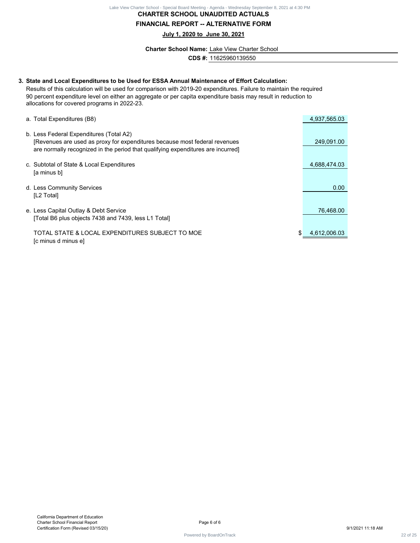#### **CHARTER SCHOOL UNAUDITED ACTUALS FINANCIAL REPORT -- ALTERNATIVE FORM**

**July 1, 2020 to June 30, 2021**

**Charter School Name:** Lake View Charter School

**CDS #:** 11625960139550

# **3. State and Local Expenditures to be Used for ESSA Annual Maintenance of Effort Calculation:** Results of this calculation will be used for comparison with 2019-20 expenditures. Failure to maintain the required 90 percent expenditure level on either an aggregate or per capita expenditure basis may result in reduction to allocations for covered programs in 2022-23. a. Total Expenditures (B8) 6 and 5 and 5 and 5 and 5 and 5 and 5 and 5 and 5 and 5 and 5 and 4,937,565.03 b. Less Federal Expenditures (Total A2) [Revenues are used as proxy for expenditures because most federal revenues 249,091.00 are normally recognized in the period that qualifying expenditures are incurred] c. Subtotal of State & Local Expenditures 4,688,474.03 [a minus b] d. Less Community Services **0.00** and the service of the service of the service of the service of the service of the service of the service of the service of the service of the service of the service of the service of the [L2 Total] e. Less Capital Outlay & Debt Service **76,468.00** 26, 2012 12:30 276,468.00 [Total B6 plus objects 7438 and 7439, less L1 Total] TOTAL STATE & LOCAL EXPENDITURES SUBJECT TO MOE  $$4,612,006.03$ [c minus d minus e] **Contract 22 of 25 Lake View Charter School - University Board Meeting - Agenda - Special Board Meeting - Special Board Meeting - Agenda - Wednesday September 8, 2021 at 4:30 PM and 2021 at 4:30 PM and 2021 at 4:30 PM and**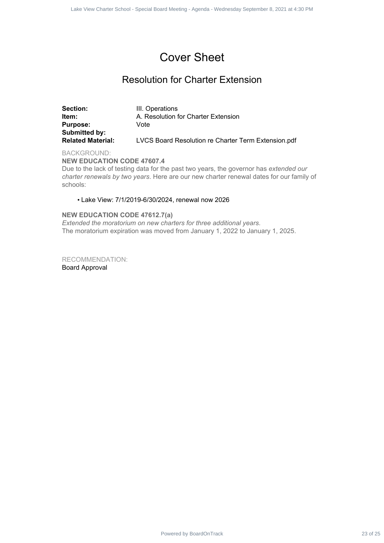#### Cover Sheet

#### Resolution for Charter Extension

|                                                                                   | Lake View Charter School - Special Board Meeting - Agenda - Wednesday September 8, 2021 at 4:30 PM                                                                                          |          |
|-----------------------------------------------------------------------------------|---------------------------------------------------------------------------------------------------------------------------------------------------------------------------------------------|----------|
|                                                                                   |                                                                                                                                                                                             |          |
|                                                                                   | <b>Cover Sheet</b>                                                                                                                                                                          |          |
|                                                                                   | <b>Resolution for Charter Extension</b>                                                                                                                                                     |          |
| Section:<br>Item:<br><b>Purpose:</b><br>Submitted by:<br><b>Related Material:</b> | III. Operations<br>A. Resolution for Charter Extension<br>Vote<br>LVCS Board Resolution re Charter Term Extension.pdf                                                                       |          |
| <b>BACKGROUND:</b><br><b>NEW EDUCATION CODE 47607.4</b><br>schools:               | Due to the lack of testing data for the past two years, the governor has extended our<br>charter renewals by two years. Here are our new charter renewal dates for our family of            |          |
|                                                                                   | • Lake View: 7/1/2019-6/30/2024, renewal now 2026                                                                                                                                           |          |
|                                                                                   | <b>NEW EDUCATION CODE 47612.7(a)</b><br>Extended the moratorium on new charters for three additional years.<br>The moratorium expiration was moved from January 1, 2022 to January 1, 2025. |          |
| <b>RECOMMENDATION:</b><br><b>Board Approval</b>                                   |                                                                                                                                                                                             |          |
|                                                                                   | Powered by BoardOnTrack                                                                                                                                                                     | 23 of 25 |

#### • Lake View: 7/1/2019-6/30/2024, renewal now 2026

#### **NEW EDUCATION CODE 47612.7(a)**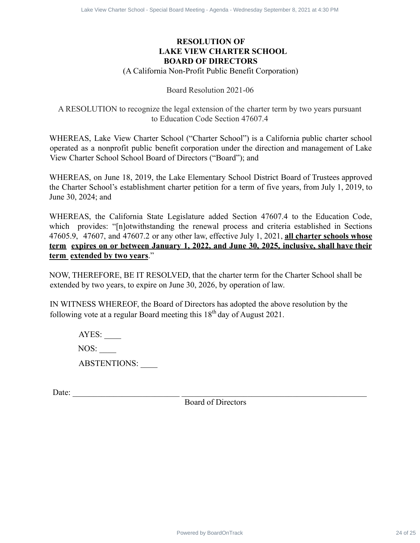#### **RESOLUTION OF LAKE VIEW CHARTER SCHOOL BOARD OF DIRECTORS**

#### (A California Non-Profit Public Benefit Corporation)

#### Board Resolution 2021-06

#### A RESOLUTION to recognize the legal extension of the charter term by two years pursuant to Education Code Section 47607.4

WHEREAS, Lake View Charter School ("Charter School") is a California public charter school operated as a nonprofit public benefit corporation under the direction and management of Lake View Charter School School Board of Directors ("Board"); and

WHEREAS, on June 18, 2019, the Lake Elementary School District Board of Trustees approved the Charter School's establishment charter petition for a term of five years, from July 1, 2019, to June 30, 2024; and

WHEREAS, the California State Legislature added Section 47607.4 to the Education Code, which provides: "[n]otwithstanding the renewal process and criteria established in Sections 47605.9, 47607, and 47607.2 or any other law, effective July 1, 2021, **all charter schools whose term expires on or between January 1, 2022, and June 30, 2025, inclusive, shall have their term extended by two years**." Board Contract 24 of 25 Lake View Charter School 24 Of 25 Lake View Charter School 24 Charter School 24 Of 26 Lake View Charter School 24 Of 24 Charter School 24 Lake View Charter School - Specific Corporation 1021-06<br>
CA

NOW, THEREFORE, BE IT RESOLVED, that the charter term for the Charter School shall be extended by two years, to expire on June 30, 2026, by operation of law.

IN WITNESS WHEREOF, the Board of Directors has adopted the above resolution by the following vote at a regular Board meeting this  $18<sup>th</sup>$  day of August 2021.

 $AYES:$ NOS: ABSTENTIONS:

Date:

Board of Directors